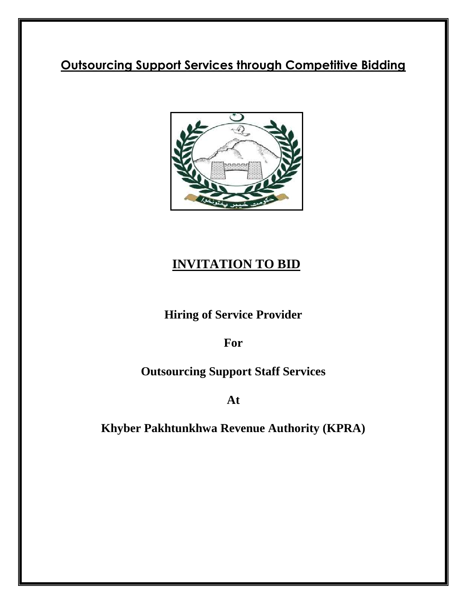# **Outsourcing Support Services through Competitive Bidding**



# **INVITATION TO BID**

**Hiring of Service Provider**

**For** 

# **Outsourcing Support Staff Services**

**At** 

**Khyber Pakhtunkhwa Revenue Authority (KPRA)**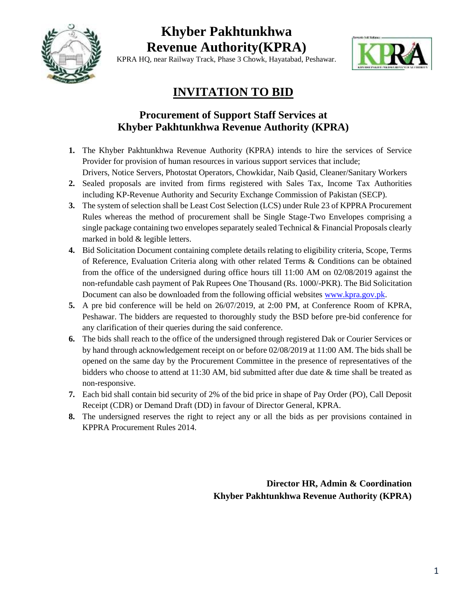

# **Khyber Pakhtunkhwa Revenue Authority(KPRA)**

KPRA HQ, near Railway Track, Phase 3 Chowk, Hayatabad, Peshawar.



# **INVITATION TO BID**

# **Procurement of Support Staff Services at Khyber Pakhtunkhwa Revenue Authority (KPRA)**

- **1.** The Khyber Pakhtunkhwa Revenue Authority (KPRA) intends to hire the services of Service Provider for provision of human resources in various support services that include; Drivers, Notice Servers, Photostat Operators, Chowkidar, Naib Qasid, Cleaner/Sanitary Workers
- **2.** Sealed proposals are invited from firms registered with Sales Tax, Income Tax Authorities including KP-Revenue Authority and Security Exchange Commission of Pakistan (SECP).
- **3.** The system of selection shall be Least Cost Selection (LCS) under Rule 23 of KPPRA Procurement Rules whereas the method of procurement shall be Single Stage-Two Envelopes comprising a single package containing two envelopes separately sealed Technical & Financial Proposals clearly marked in bold & legible letters.
- **4.** Bid Solicitation Document containing complete details relating to eligibility criteria, Scope, Terms of Reference, Evaluation Criteria along with other related Terms & Conditions can be obtained from the office of the undersigned during office hours till 11:00 AM on 02/08/2019 against the non-refundable cash payment of Pak Rupees One Thousand (Rs. 1000/-PKR). The Bid Solicitation Document can also be downloaded from the following official websites [www.kpra.gov.pk.](http://www.kpra.gov.pk/)
- **5.** A pre bid conference will be held on 26/07/2019, at 2:00 PM, at Conference Room of KPRA, Peshawar. The bidders are requested to thoroughly study the BSD before pre-bid conference for any clarification of their queries during the said conference.
- **6.** The bids shall reach to the office of the undersigned through registered Dak or Courier Services or by hand through acknowledgement receipt on or before 02/08/2019 at 11:00 AM. The bids shall be opened on the same day by the Procurement Committee in the presence of representatives of the bidders who choose to attend at 11:30 AM, bid submitted after due date & time shall be treated as non-responsive.
- **7.** Each bid shall contain bid security of 2% of the bid price in shape of Pay Order (PO), Call Deposit Receipt (CDR) or Demand Draft (DD) in favour of Director General, KPRA.
- **8.** The undersigned reserves the right to reject any or all the bids as per provisions contained in KPPRA Procurement Rules 2014.

**Director HR, Admin & Coordination Khyber Pakhtunkhwa Revenue Authority (KPRA)**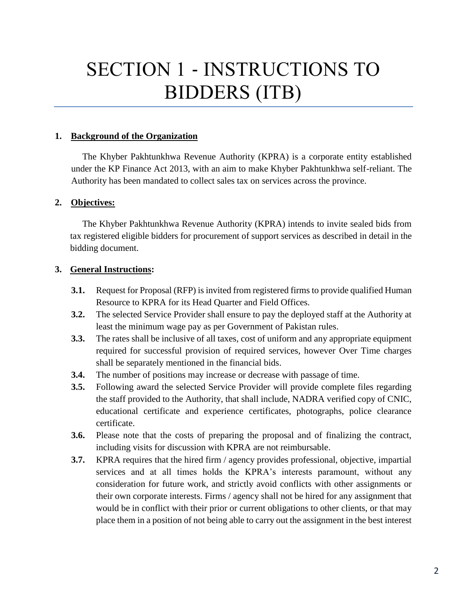# SECTION 1 ‐ INSTRUCTIONS TO BIDDERS (ITB)

#### **1. Background of the Organization**

The Khyber Pakhtunkhwa Revenue Authority (KPRA) is a corporate entity established under the KP Finance Act 2013, with an aim to make Khyber Pakhtunkhwa self-reliant. The Authority has been mandated to collect sales tax on services across the province.

#### **2. Objectives:**

The Khyber Pakhtunkhwa Revenue Authority (KPRA) intends to invite sealed bids from tax registered eligible bidders for procurement of support services as described in detail in the bidding document.

#### **3. General Instructions:**

- **3.1.** Request for Proposal (RFP) is invited from registered firms to provide qualified Human Resource to KPRA for its Head Quarter and Field Offices.
- **3.2.** The selected Service Provider shall ensure to pay the deployed staff at the Authority at least the minimum wage pay as per Government of Pakistan rules.
- **3.3.** The rates shall be inclusive of all taxes, cost of uniform and any appropriate equipment required for successful provision of required services, however Over Time charges shall be separately mentioned in the financial bids.
- **3.4.** The number of positions may increase or decrease with passage of time.
- **3.5.** Following award the selected Service Provider will provide complete files regarding the staff provided to the Authority, that shall include, NADRA verified copy of CNIC, educational certificate and experience certificates, photographs, police clearance certificate.
- **3.6.** Please note that the costs of preparing the proposal and of finalizing the contract, including visits for discussion with KPRA are not reimbursable.
- **3.7.** KPRA requires that the hired firm / agency provides professional, objective, impartial services and at all times holds the KPRA's interests paramount, without any consideration for future work, and strictly avoid conflicts with other assignments or their own corporate interests. Firms / agency shall not be hired for any assignment that would be in conflict with their prior or current obligations to other clients, or that may place them in a position of not being able to carry out the assignment in the best interest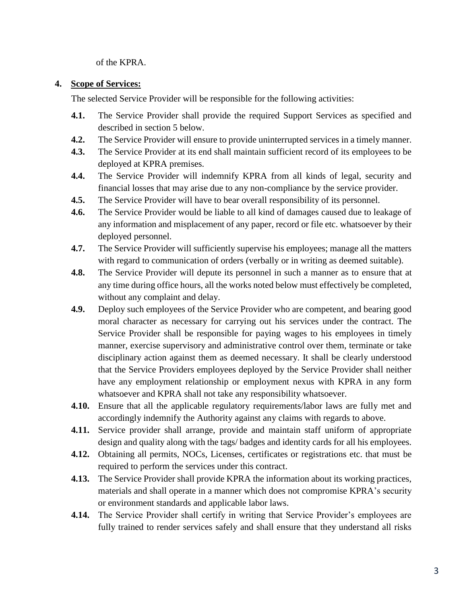of the KPRA.

#### **4. Scope of Services:**

The selected Service Provider will be responsible for the following activities:

- **4.1.** The Service Provider shall provide the required Support Services as specified and described in section 5 below.
- **4.2.** The Service Provider will ensure to provide uninterrupted services in a timely manner.
- **4.3.** The Service Provider at its end shall maintain sufficient record of its employees to be deployed at KPRA premises.
- **4.4.** The Service Provider will indemnify KPRA from all kinds of legal, security and financial losses that may arise due to any non-compliance by the service provider.
- **4.5.** The Service Provider will have to bear overall responsibility of its personnel.
- **4.6.** The Service Provider would be liable to all kind of damages caused due to leakage of any information and misplacement of any paper, record or file etc. whatsoever by their deployed personnel.
- **4.7.** The Service Provider will sufficiently supervise his employees; manage all the matters with regard to communication of orders (verbally or in writing as deemed suitable).
- **4.8.** The Service Provider will depute its personnel in such a manner as to ensure that at any time during office hours, all the works noted below must effectively be completed, without any complaint and delay.
- **4.9.** Deploy such employees of the Service Provider who are competent, and bearing good moral character as necessary for carrying out his services under the contract. The Service Provider shall be responsible for paying wages to his employees in timely manner, exercise supervisory and administrative control over them, terminate or take disciplinary action against them as deemed necessary. It shall be clearly understood that the Service Providers employees deployed by the Service Provider shall neither have any employment relationship or employment nexus with KPRA in any form whatsoever and KPRA shall not take any responsibility whatsoever.
- **4.10.** Ensure that all the applicable regulatory requirements/labor laws are fully met and accordingly indemnify the Authority against any claims with regards to above.
- **4.11.** Service provider shall arrange, provide and maintain staff uniform of appropriate design and quality along with the tags/ badges and identity cards for all his employees.
- **4.12.** Obtaining all permits, NOCs, Licenses, certificates or registrations etc. that must be required to perform the services under this contract.
- **4.13.** The Service Provider shall provide KPRA the information about its working practices, materials and shall operate in a manner which does not compromise KPRA's security or environment standards and applicable labor laws.
- **4.14.** The Service Provider shall certify in writing that Service Provider's employees are fully trained to render services safely and shall ensure that they understand all risks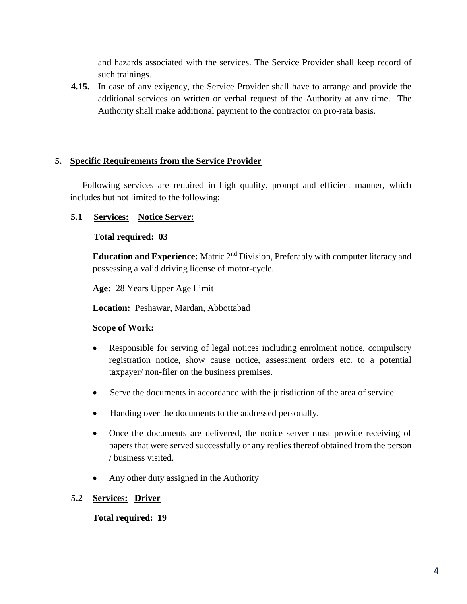and hazards associated with the services. The Service Provider shall keep record of such trainings.

**4.15.** In case of any exigency, the Service Provider shall have to arrange and provide the additional services on written or verbal request of the Authority at any time. The Authority shall make additional payment to the contractor on pro-rata basis.

#### **5. Specific Requirements from the Service Provider**

Following services are required in high quality, prompt and efficient manner, which includes but not limited to the following:

#### **5.1 Services: Notice Server:**

#### **Total required: 03**

**Education and Experience:** Matric 2<sup>nd</sup> Division, Preferably with computer literacy and possessing a valid driving license of motor-cycle.

**Age:** 28 Years Upper Age Limit

**Location:** Peshawar, Mardan, Abbottabad

#### **Scope of Work:**

- Responsible for serving of legal notices including enrolment notice, compulsory registration notice, show cause notice, assessment orders etc. to a potential taxpayer/ non-filer on the business premises.
- Serve the documents in accordance with the jurisdiction of the area of service.
- Handing over the documents to the addressed personally.
- Once the documents are delivered, the notice server must provide receiving of papers that were served successfully or any replies thereof obtained from the person / business visited.
- Any other duty assigned in the Authority

#### **5.2 Services: Driver**

#### **Total required: 19**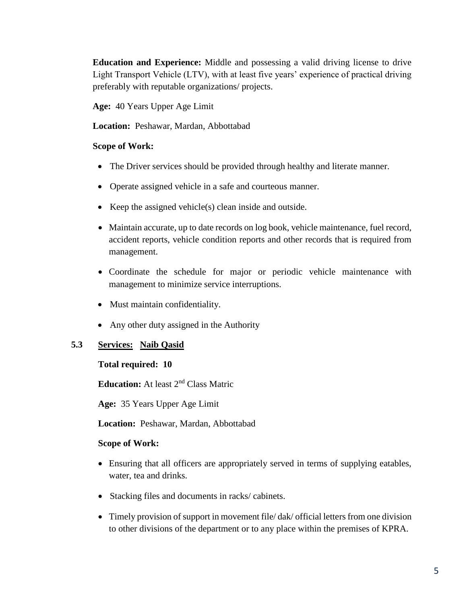**Education and Experience:** Middle and possessing a valid driving license to drive Light Transport Vehicle (LTV), with at least five years' experience of practical driving preferably with reputable organizations/ projects.

**Age:** 40 Years Upper Age Limit

**Location:** Peshawar, Mardan, Abbottabad

#### **Scope of Work:**

- The Driver services should be provided through healthy and literate manner.
- Operate assigned vehicle in a safe and courteous manner.
- Exerched vehicle(s) clean inside and outside.
- Maintain accurate, up to date records on log book, vehicle maintenance, fuel record, accident reports, vehicle condition reports and other records that is required from management.
- Coordinate the schedule for major or periodic vehicle maintenance with management to minimize service interruptions.
- Must maintain confidentiality.
- Any other duty assigned in the Authority

#### **5.3 Services: Naib Qasid**

#### **Total required: 10**

**Education:** At least 2nd Class Matric

**Age:** 35 Years Upper Age Limit

**Location:** Peshawar, Mardan, Abbottabad

- Ensuring that all officers are appropriately served in terms of supplying eatables, water, tea and drinks.
- Stacking files and documents in racks/ cabinets.
- Timely provision of support in movement file/ dak/ official letters from one division to other divisions of the department or to any place within the premises of KPRA.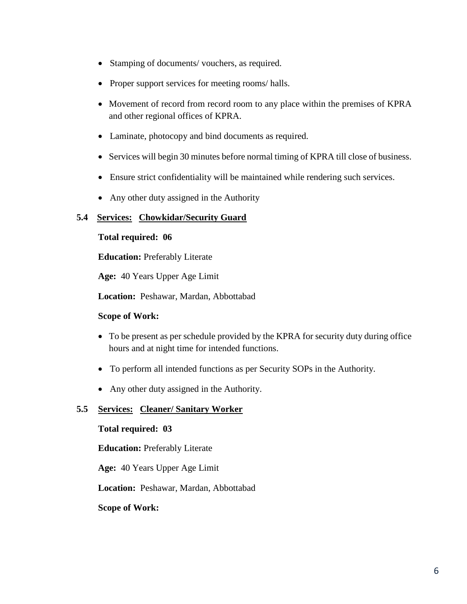- Stamping of documents/ vouchers, as required.
- Proper support services for meeting rooms/ halls.
- Movement of record from record room to any place within the premises of KPRA and other regional offices of KPRA.
- Laminate, photocopy and bind documents as required.
- Services will begin 30 minutes before normal timing of KPRA till close of business.
- Ensure strict confidentiality will be maintained while rendering such services.
- Any other duty assigned in the Authority

#### **5.4 Services: Chowkidar/Security Guard**

#### **Total required: 06**

**Education:** Preferably Literate

**Age:** 40 Years Upper Age Limit

**Location:** Peshawar, Mardan, Abbottabad

#### **Scope of Work:**

- To be present as per schedule provided by the KPRA for security duty during office hours and at night time for intended functions.
- To perform all intended functions as per Security SOPs in the Authority.
- Any other duty assigned in the Authority.

#### **5.5 Services: Cleaner/ Sanitary Worker**

#### **Total required: 03**

**Education:** Preferably Literate

**Age:** 40 Years Upper Age Limit

**Location:** Peshawar, Mardan, Abbottabad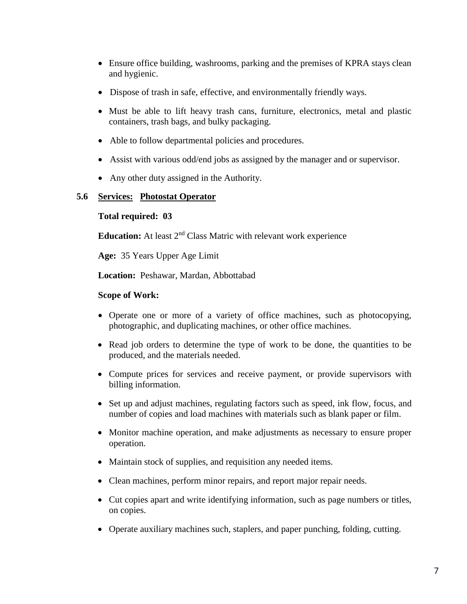- Ensure office building, washrooms, parking and the premises of KPRA stays clean and hygienic.
- Dispose of trash in safe, effective, and environmentally friendly ways.
- Must be able to lift heavy trash cans, furniture, electronics, metal and plastic containers, trash bags, and bulky packaging.
- Able to follow departmental policies and procedures.
- Assist with various odd/end jobs as assigned by the manager and or supervisor.
- Any other duty assigned in the Authority.

#### **5.6 Services: Photostat Operator**

#### **Total required: 03**

**Education:** At least 2<sup>nd</sup> Class Matric with relevant work experience

**Age:** 35 Years Upper Age Limit

**Location:** Peshawar, Mardan, Abbottabad

- Operate one or more of a variety of office machines, such as photocopying, photographic, and duplicating machines, or other office machines.
- Read job orders to determine the type of work to be done, the quantities to be produced, and the materials needed.
- Compute prices for services and receive payment, or provide supervisors with billing information.
- Set up and adjust machines, regulating factors such as speed, ink flow, focus, and number of copies and load machines with materials such as blank paper or film.
- Monitor machine operation, and make adjustments as necessary to ensure proper operation.
- Maintain stock of supplies, and requisition any needed items.
- Clean machines, perform minor repairs, and report major repair needs.
- Cut copies apart and write identifying information, such as page numbers or titles, on copies.
- Operate auxiliary machines such, staplers, and paper punching, folding, cutting.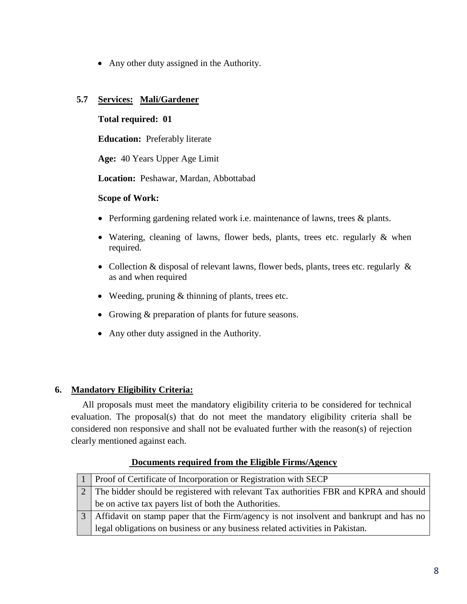• Any other duty assigned in the Authority.

#### **5.7 Services: Mali/Gardener**

#### **Total required: 01**

**Education:** Preferably literate

**Age:** 40 Years Upper Age Limit

**Location:** Peshawar, Mardan, Abbottabad

#### **Scope of Work:**

- Performing gardening related work i.e. maintenance of lawns, trees & plants.
- Watering, cleaning of lawns, flower beds, plants, trees etc. regularly & when required.
- Collection & disposal of relevant lawns, flower beds, plants, trees etc. regularly & as and when required
- Weeding, pruning & thinning of plants, trees etc.
- Growing & preparation of plants for future seasons.
- Any other duty assigned in the Authority.

#### **6. Mandatory Eligibility Criteria:**

All proposals must meet the mandatory eligibility criteria to be considered for technical evaluation. The proposal(s) that do not meet the mandatory eligibility criteria shall be considered non responsive and shall not be evaluated further with the reason(s) of rejection clearly mentioned against each.

| <b>Proof of Certificate of Incorporation or Registration with SECP</b>                 |
|----------------------------------------------------------------------------------------|
| The bidder should be registered with relevant Tax authorities FBR and KPRA and should  |
| be on active tax payers list of both the Authorities.                                  |
| Affidavit on stamp paper that the Firm/agency is not insolvent and bankrupt and has no |
| legal obligations on business or any business related activities in Pakistan.          |

#### **Documents required from the Eligible Firms/Agency**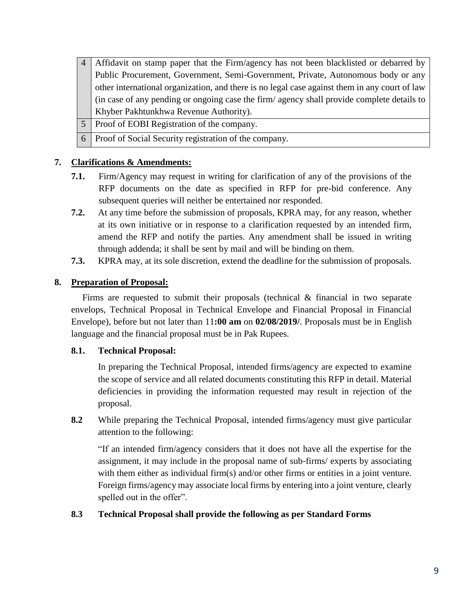- 4 Affidavit on stamp paper that the Firm/agency has not been blacklisted or debarred by Public Procurement, Government, Semi‐Government, Private, Autonomous body or any other international organization, and there is no legal case against them in any court of law (in case of any pending or ongoing case the firm/ agency shall provide complete details to Khyber Pakhtunkhwa Revenue Authority).
- 5 Proof of EOBI Registration of the company.
- 6 Proof of Social Security registration of the company.

#### **7. Clarifications & Amendments:**

- **7.1.** Firm/Agency may request in writing for clarification of any of the provisions of the RFP documents on the date as specified in RFP for pre-bid conference. Any subsequent queries will neither be entertained nor responded.
- **7.2.** At any time before the submission of proposals, KPRA may, for any reason, whether at its own initiative or in response to a clarification requested by an intended firm, amend the RFP and notify the parties. Any amendment shall be issued in writing through addenda; it shall be sent by mail and will be binding on them.
- **7.3.** KPRA may, at its sole discretion, extend the deadline for the submission of proposals.

#### **8. Preparation of Proposal:**

Firms are requested to submit their proposals (technical & financial in two separate envelops, Technical Proposal in Technical Envelope and Financial Proposal in Financial Envelope), before but not later than 11**:00 am** on **02/08/2019/**. Proposals must be in English language and the financial proposal must be in Pak Rupees.

#### **8.1. Technical Proposal:**

In preparing the Technical Proposal, intended firms/agency are expected to examine the scope of service and all related documents constituting this RFP in detail. Material deficiencies in providing the information requested may result in rejection of the proposal.

**8.2** While preparing the Technical Proposal, intended firms/agency must give particular attention to the following:

"If an intended firm/agency considers that it does not have all the expertise for the assignment, it may include in the proposal name of sub‐firms/ experts by associating with them either as individual firm(s) and/or other firms or entities in a joint venture. Foreign firms/agency may associate local firms by entering into a joint venture, clearly spelled out in the offer".

#### **8.3 Technical Proposal shall provide the following as per Standard Forms**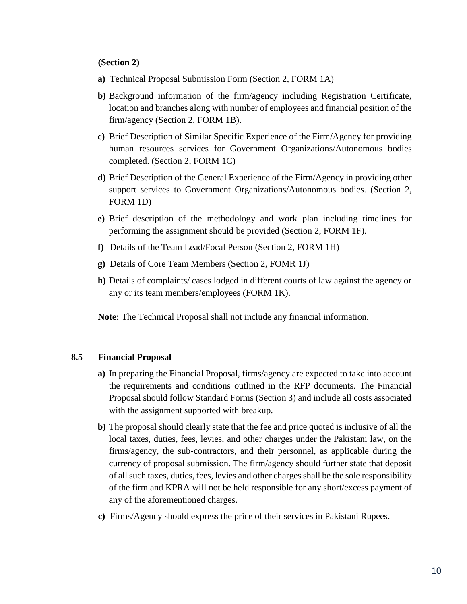#### **(Section 2)**

- **a)** Technical Proposal Submission Form (Section 2, FORM 1A)
- **b)** Background information of the firm/agency including Registration Certificate, location and branches along with number of employees and financial position of the firm/agency (Section 2, FORM 1B).
- **c)** Brief Description of Similar Specific Experience of the Firm/Agency for providing human resources services for Government Organizations/Autonomous bodies completed. (Section 2, FORM 1C)
- **d)** Brief Description of the General Experience of the Firm/Agency in providing other support services to Government Organizations/Autonomous bodies. (Section 2, FORM 1D)
- **e)** Brief description of the methodology and work plan including timelines for performing the assignment should be provided (Section 2, FORM 1F).
- **f)** Details of the Team Lead/Focal Person (Section 2, FORM 1H)
- **g)** Details of Core Team Members (Section 2, FOMR 1J)
- **h)** Details of complaints/ cases lodged in different courts of law against the agency or any or its team members/employees (FORM 1K).

**Note:** The Technical Proposal shall not include any financial information.

#### **8.5 Financial Proposal**

- **a)** In preparing the Financial Proposal, firms/agency are expected to take into account the requirements and conditions outlined in the RFP documents. The Financial Proposal should follow Standard Forms (Section 3) and include all costs associated with the assignment supported with breakup.
- **b)** The proposal should clearly state that the fee and price quoted is inclusive of all the local taxes, duties, fees, levies, and other charges under the Pakistani law, on the firms/agency, the sub‐contractors, and their personnel, as applicable during the currency of proposal submission. The firm/agency should further state that deposit of all such taxes, duties, fees, levies and other charges shall be the sole responsibility of the firm and KPRA will not be held responsible for any short/excess payment of any of the aforementioned charges.
- **c)** Firms/Agency should express the price of their services in Pakistani Rupees.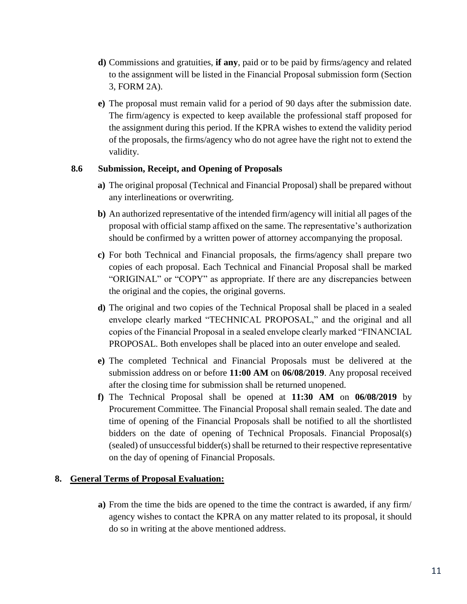- **d)** Commissions and gratuities, **if any**, paid or to be paid by firms/agency and related to the assignment will be listed in the Financial Proposal submission form (Section 3, FORM 2A).
- **e)** The proposal must remain valid for a period of 90 days after the submission date. The firm/agency is expected to keep available the professional staff proposed for the assignment during this period. If the KPRA wishes to extend the validity period of the proposals, the firms/agency who do not agree have the right not to extend the validity.

#### **8.6 Submission, Receipt, and Opening of Proposals**

- **a)** The original proposal (Technical and Financial Proposal) shall be prepared without any interlineations or overwriting.
- **b)** An authorized representative of the intended firm/agency will initial all pages of the proposal with official stamp affixed on the same. The representative's authorization should be confirmed by a written power of attorney accompanying the proposal.
- **c)** For both Technical and Financial proposals, the firms/agency shall prepare two copies of each proposal. Each Technical and Financial Proposal shall be marked "ORIGINAL" or "COPY" as appropriate. If there are any discrepancies between the original and the copies, the original governs.
- **d)** The original and two copies of the Technical Proposal shall be placed in a sealed envelope clearly marked "TECHNICAL PROPOSAL," and the original and all copies of the Financial Proposal in a sealed envelope clearly marked "FINANCIAL PROPOSAL. Both envelopes shall be placed into an outer envelope and sealed.
- **e)** The completed Technical and Financial Proposals must be delivered at the submission address on or before **11:00 AM** on **06/08/2019**. Any proposal received after the closing time for submission shall be returned unopened.
- **f)** The Technical Proposal shall be opened at **11:30 AM** on **06/08/2019** by Procurement Committee. The Financial Proposal shall remain sealed. The date and time of opening of the Financial Proposals shall be notified to all the shortlisted bidders on the date of opening of Technical Proposals. Financial Proposal(s) (sealed) of unsuccessful bidder(s) shall be returned to their respective representative on the day of opening of Financial Proposals.

#### **8. General Terms of Proposal Evaluation:**

**a)** From the time the bids are opened to the time the contract is awarded, if any firm/ agency wishes to contact the KPRA on any matter related to its proposal, it should do so in writing at the above mentioned address.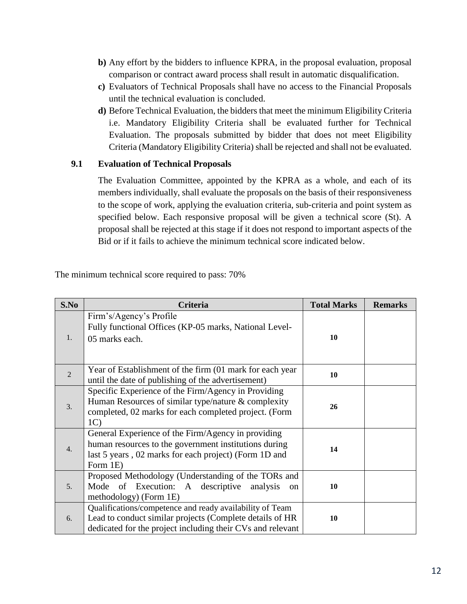- **b)** Any effort by the bidders to influence KPRA, in the proposal evaluation, proposal comparison or contract award process shall result in automatic disqualification.
- **c)** Evaluators of Technical Proposals shall have no access to the Financial Proposals until the technical evaluation is concluded.
- **d)** Before Technical Evaluation, the bidders that meet the minimum Eligibility Criteria i.e. Mandatory Eligibility Criteria shall be evaluated further for Technical Evaluation. The proposals submitted by bidder that does not meet Eligibility Criteria (Mandatory Eligibility Criteria) shall be rejected and shall not be evaluated.

#### **9.1 Evaluation of Technical Proposals**

The Evaluation Committee, appointed by the KPRA as a whole, and each of its members individually, shall evaluate the proposals on the basis of their responsiveness to the scope of work, applying the evaluation criteria, sub‐criteria and point system as specified below. Each responsive proposal will be given a technical score (St). A proposal shall be rejected at this stage if it does not respond to important aspects of the Bid or if it fails to achieve the minimum technical score indicated below.

| S.No             | Criteria                                                                                                                                                                              | <b>Total Marks</b> | <b>Remarks</b> |
|------------------|---------------------------------------------------------------------------------------------------------------------------------------------------------------------------------------|--------------------|----------------|
| 1.               | Firm's/Agency's Profile<br>Fully functional Offices (KP-05 marks, National Level-<br>05 marks each.                                                                                   | 10                 |                |
| $\overline{2}$   | Year of Establishment of the firm (01 mark for each year<br>until the date of publishing of the advertisement)                                                                        | 10                 |                |
| 3.               | Specific Experience of the Firm/Agency in Providing<br>Human Resources of similar type/nature & complexity<br>completed, 02 marks for each completed project. (Form<br>1 <sub>C</sub> | 26                 |                |
| $\overline{4}$ . | General Experience of the Firm/Agency in providing<br>human resources to the government institutions during<br>last 5 years, 02 marks for each project) (Form 1D and<br>Form 1E)      | 14                 |                |
| 5.               | Proposed Methodology (Understanding of the TORs and<br>Mode of Execution: A descriptive<br>analysis<br><sub>on</sub><br>methodology) (Form 1E)                                        | 10                 |                |
| 6.               | Qualifications/competence and ready availability of Team<br>Lead to conduct similar projects (Complete details of HR<br>dedicated for the project including their CVs and relevant    | 10                 |                |

The minimum technical score required to pass: 70%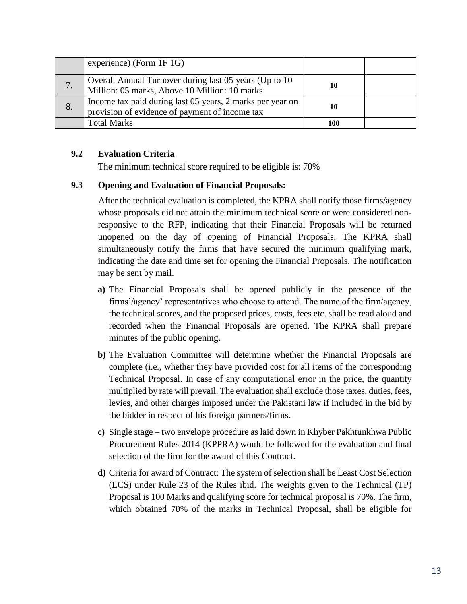|    | experience) (Form 1F 1G)                                                                                    |     |  |
|----|-------------------------------------------------------------------------------------------------------------|-----|--|
| 7. | Overall Annual Turnover during last 05 years (Up to 10)<br>Million: 05 marks, Above 10 Million: 10 marks    | 10  |  |
| 8. | Income tax paid during last 05 years, 2 marks per year on<br>provision of evidence of payment of income tax | 10  |  |
|    | <b>Total Marks</b>                                                                                          | 100 |  |

#### **9.2 Evaluation Criteria**

The minimum technical score required to be eligible is: 70%

#### **9.3 Opening and Evaluation of Financial Proposals:**

After the technical evaluation is completed, the KPRA shall notify those firms/agency whose proposals did not attain the minimum technical score or were considered nonresponsive to the RFP, indicating that their Financial Proposals will be returned unopened on the day of opening of Financial Proposals. The KPRA shall simultaneously notify the firms that have secured the minimum qualifying mark, indicating the date and time set for opening the Financial Proposals. The notification may be sent by mail.

- **a)** The Financial Proposals shall be opened publicly in the presence of the firms'/agency' representatives who choose to attend. The name of the firm/agency, the technical scores, and the proposed prices, costs, fees etc. shall be read aloud and recorded when the Financial Proposals are opened. The KPRA shall prepare minutes of the public opening.
- **b)** The Evaluation Committee will determine whether the Financial Proposals are complete (i.e., whether they have provided cost for all items of the corresponding Technical Proposal. In case of any computational error in the price, the quantity multiplied by rate will prevail. The evaluation shall exclude those taxes, duties, fees, levies, and other charges imposed under the Pakistani law if included in the bid by the bidder in respect of his foreign partners/firms.
- **c)** Single stage two envelope procedure as laid down in Khyber Pakhtunkhwa Public Procurement Rules 2014 (KPPRA) would be followed for the evaluation and final selection of the firm for the award of this Contract.
- **d)** Criteria for award of Contract: The system of selection shall be Least Cost Selection (LCS) under Rule 23 of the Rules ibid. The weights given to the Technical (TP) Proposal is 100 Marks and qualifying score for technical proposal is 70%. The firm, which obtained 70% of the marks in Technical Proposal, shall be eligible for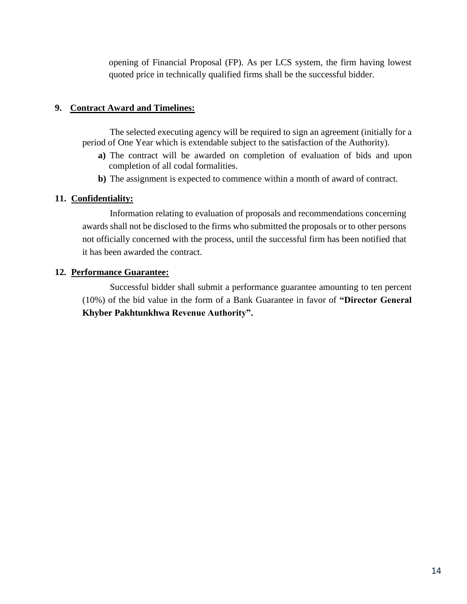opening of Financial Proposal (FP). As per LCS system, the firm having lowest quoted price in technically qualified firms shall be the successful bidder.

#### **9. Contract Award and Timelines:**

The selected executing agency will be required to sign an agreement (initially for a period of One Year which is extendable subject to the satisfaction of the Authority).

- **a)** The contract will be awarded on completion of evaluation of bids and upon completion of all codal formalities.
- **b)** The assignment is expected to commence within a month of award of contract.

#### **11. Confidentiality:**

Information relating to evaluation of proposals and recommendations concerning awards shall not be disclosed to the firms who submitted the proposals or to other persons not officially concerned with the process, until the successful firm has been notified that it has been awarded the contract.

#### **12. Performance Guarantee:**

Successful bidder shall submit a performance guarantee amounting to ten percent (10%) of the bid value in the form of a Bank Guarantee in favor of **"Director General Khyber Pakhtunkhwa Revenue Authority".**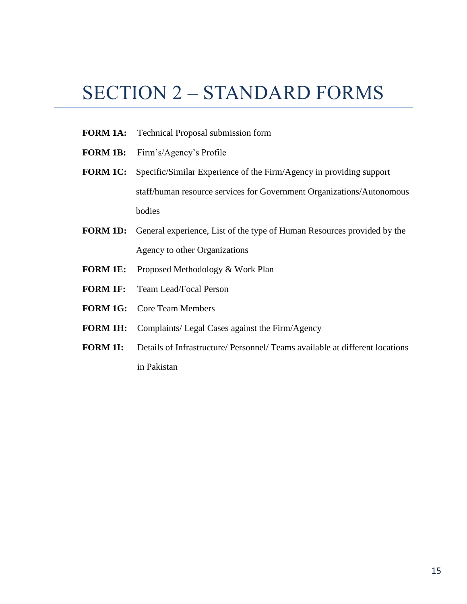# SECTION 2 – STANDARD FORMS

- **FORM 1A:** Technical Proposal submission form
- **FORM 1B:** Firm's/Agency's Profile
- **FORM 1C:** Specific/Similar Experience of the Firm/Agency in providing support staff/human resource services for Government Organizations/Autonomous bodies
- **FORM 1D:** General experience, List of the type of Human Resources provided by the Agency to other Organizations
- **FORM 1E:** Proposed Methodology & Work Plan
- **FORM 1F:** Team Lead/Focal Person
- **FORM 1G:** Core Team Members
- **FORM 1H:** Complaints/ Legal Cases against the Firm/Agency
- **FORM 1I:** Details of Infrastructure/ Personnel/ Teams available at different locations in Pakistan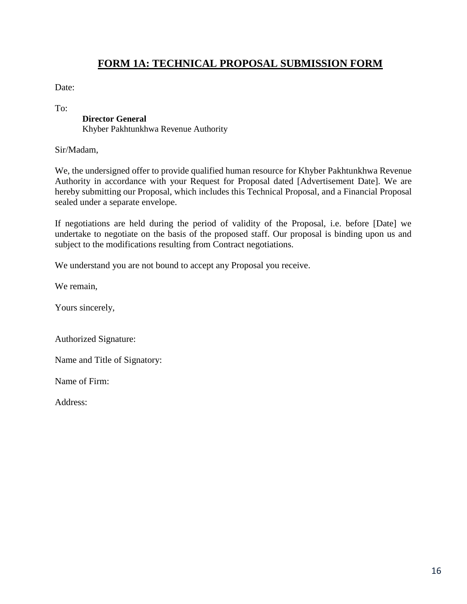# **FORM 1A: TECHNICAL PROPOSAL SUBMISSION FORM**

Date:

To:

#### **Director General**

Khyber Pakhtunkhwa Revenue Authority

Sir/Madam,

We, the undersigned offer to provide qualified human resource for Khyber Pakhtunkhwa Revenue Authority in accordance with your Request for Proposal dated [Advertisement Date]. We are hereby submitting our Proposal, which includes this Technical Proposal, and a Financial Proposal sealed under a separate envelope.

If negotiations are held during the period of validity of the Proposal, i.e. before [Date] we undertake to negotiate on the basis of the proposed staff. Our proposal is binding upon us and subject to the modifications resulting from Contract negotiations.

We understand you are not bound to accept any Proposal you receive.

We remain,

Yours sincerely,

Authorized Signature:

Name and Title of Signatory:

Name of Firm:

Address: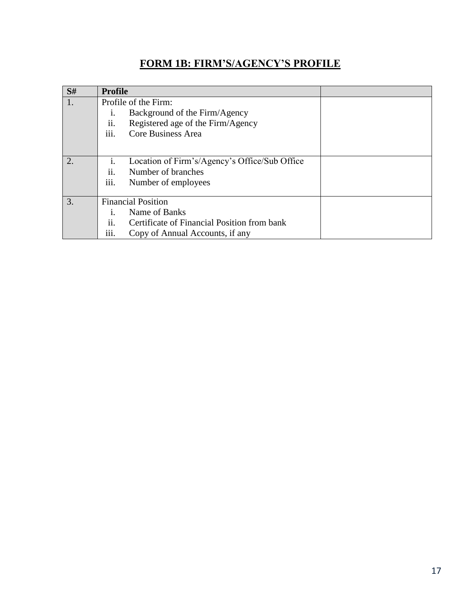# **FORM 1B: FIRM'S/AGENCY'S PROFILE**

| S# | <b>Profile</b>            |                                               |  |
|----|---------------------------|-----------------------------------------------|--|
| 1. |                           | Profile of the Firm:                          |  |
|    | 1.                        | Background of the Firm/Agency                 |  |
|    | ii.                       | Registered age of the Firm/Agency             |  |
|    | .<br>$\overline{111}$ .   | Core Business Area                            |  |
|    |                           |                                               |  |
| 2. | $\mathbf{1}$ .            | Location of Firm's/Agency's Office/Sub Office |  |
|    | ii.                       | Number of branches                            |  |
|    | $\cdots$<br>111.          | Number of employees                           |  |
|    |                           |                                               |  |
| 3. | <b>Financial Position</b> |                                               |  |
|    | Name of Banks<br>1.       |                                               |  |
|    | ii.                       | Certificate of Financial Position from bank   |  |
|    | $\cdots$<br>111.          | Copy of Annual Accounts, if any               |  |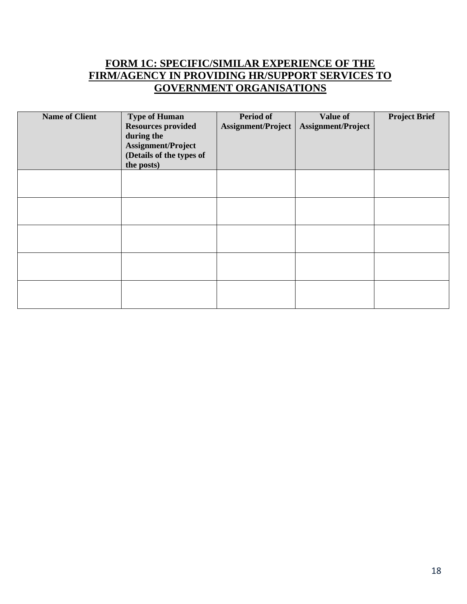# **FORM 1C: SPECIFIC/SIMILAR EXPERIENCE OF THE FIRM/AGENCY IN PROVIDING HR/SUPPORT SERVICES TO GOVERNMENT ORGANISATIONS**

| <b>Name of Client</b> | <b>Type of Human</b><br><b>Resources provided</b><br>during the<br>Assignment/Project<br>(Details of the types of<br>the posts) | <b>Period of</b><br>Assignment/Project | <b>Value of</b><br>Assignment/Project | <b>Project Brief</b> |
|-----------------------|---------------------------------------------------------------------------------------------------------------------------------|----------------------------------------|---------------------------------------|----------------------|
|                       |                                                                                                                                 |                                        |                                       |                      |
|                       |                                                                                                                                 |                                        |                                       |                      |
|                       |                                                                                                                                 |                                        |                                       |                      |
|                       |                                                                                                                                 |                                        |                                       |                      |
|                       |                                                                                                                                 |                                        |                                       |                      |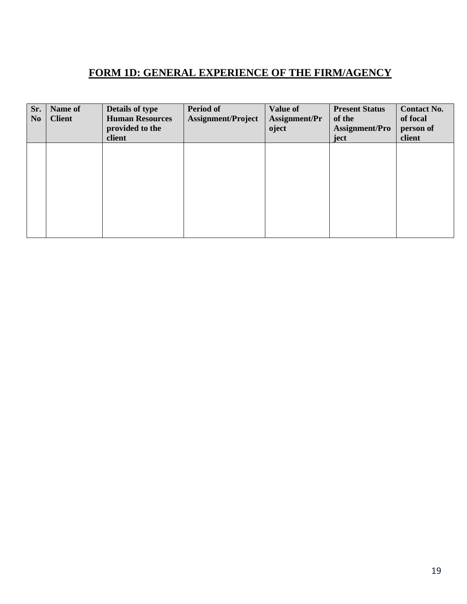# **FORM 1D: GENERAL EXPERIENCE OF THE FIRM/AGENCY**

| Sr.<br>N <sub>o</sub> | Name of<br><b>Client</b> | <b>Details of type</b><br><b>Human Resources</b><br>provided to the<br>client | <b>Period of</b><br><b>Assignment/Project</b> | Value of<br>Assignment/Pr<br>oject | <b>Present Status</b><br>of the<br>Assignment/Pro<br>ject | <b>Contact No.</b><br>of focal<br>person of<br>client |
|-----------------------|--------------------------|-------------------------------------------------------------------------------|-----------------------------------------------|------------------------------------|-----------------------------------------------------------|-------------------------------------------------------|
|                       |                          |                                                                               |                                               |                                    |                                                           |                                                       |
|                       |                          |                                                                               |                                               |                                    |                                                           |                                                       |
|                       |                          |                                                                               |                                               |                                    |                                                           |                                                       |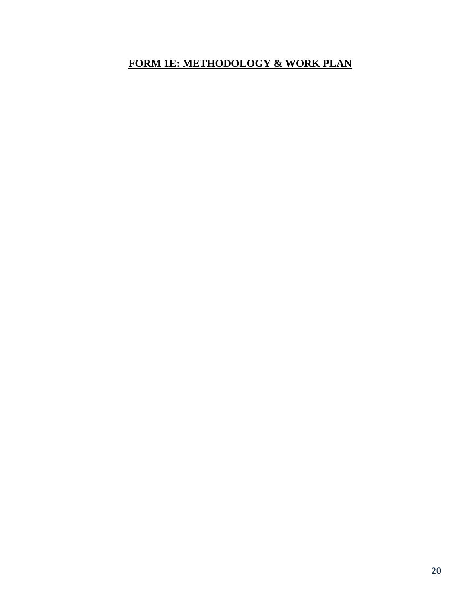# **FORM 1E: METHODOLOGY & WORK PLAN**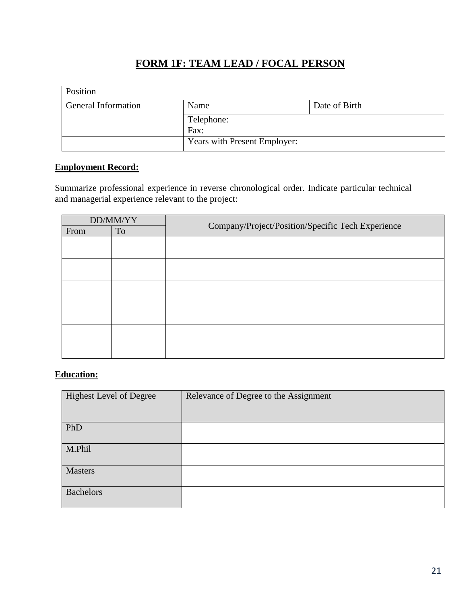# **FORM 1F: TEAM LEAD / FOCAL PERSON**

| Position                   |                              |               |  |  |
|----------------------------|------------------------------|---------------|--|--|
| <b>General Information</b> | Name                         | Date of Birth |  |  |
|                            | Telephone:                   |               |  |  |
|                            | Fax:                         |               |  |  |
|                            | Years with Present Employer: |               |  |  |

#### **Employment Record:**

Summarize professional experience in reverse chronological order. Indicate particular technical and managerial experience relevant to the project:

| DD/MM/YY |           | Company/Project/Position/Specific Tech Experience |  |
|----------|-----------|---------------------------------------------------|--|
| From     | <b>To</b> |                                                   |  |
|          |           |                                                   |  |
|          |           |                                                   |  |
|          |           |                                                   |  |
|          |           |                                                   |  |
|          |           |                                                   |  |
|          |           |                                                   |  |
|          |           |                                                   |  |
|          |           |                                                   |  |
|          |           |                                                   |  |
|          |           |                                                   |  |
|          |           |                                                   |  |

### **Education:**

| <b>Highest Level of Degree</b> | Relevance of Degree to the Assignment |
|--------------------------------|---------------------------------------|
| PhD                            |                                       |
| M.Phil                         |                                       |
| <b>Masters</b>                 |                                       |
| <b>Bachelors</b>               |                                       |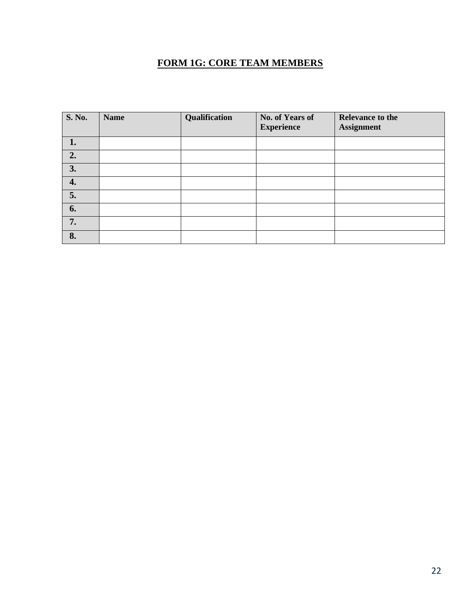# **FORM 1G: CORE TEAM MEMBERS**

| S. No. | <b>Name</b> | Qualification | No. of Years of<br><b>Experience</b> | <b>Relevance to the</b><br><b>Assignment</b> |
|--------|-------------|---------------|--------------------------------------|----------------------------------------------|
| 1.     |             |               |                                      |                                              |
| 2.     |             |               |                                      |                                              |
| 3.     |             |               |                                      |                                              |
| 4.     |             |               |                                      |                                              |
| 5.     |             |               |                                      |                                              |
| 6.     |             |               |                                      |                                              |
| 7.     |             |               |                                      |                                              |
| 8.     |             |               |                                      |                                              |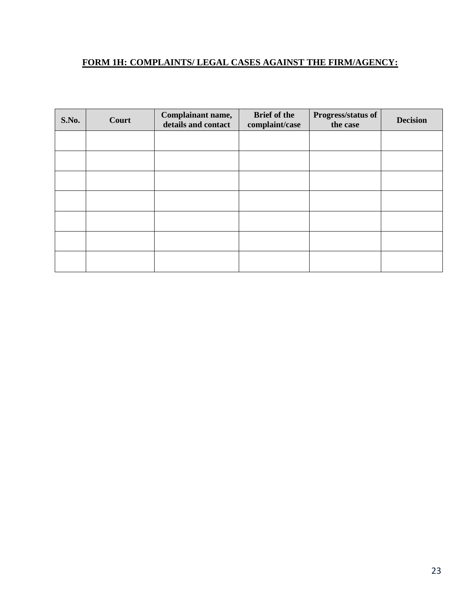# **FORM 1H: COMPLAINTS/ LEGAL CASES AGAINST THE FIRM/AGENCY:**

| S.No. | Court | Complainant name,<br>details and contact | <b>Brief of the</b><br>complaint/case | Progress/status of<br>the case | <b>Decision</b> |
|-------|-------|------------------------------------------|---------------------------------------|--------------------------------|-----------------|
|       |       |                                          |                                       |                                |                 |
|       |       |                                          |                                       |                                |                 |
|       |       |                                          |                                       |                                |                 |
|       |       |                                          |                                       |                                |                 |
|       |       |                                          |                                       |                                |                 |
|       |       |                                          |                                       |                                |                 |
|       |       |                                          |                                       |                                |                 |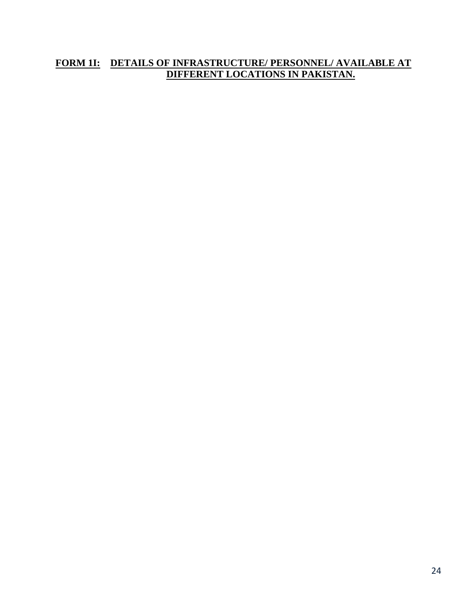### **FORM 1I: DETAILS OF INFRASTRUCTURE/ PERSONNEL/ AVAILABLE AT DIFFERENT LOCATIONS IN PAKISTAN.**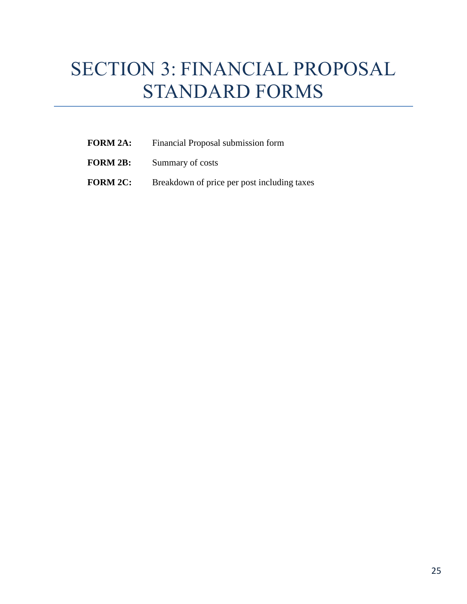# SECTION 3: FINANCIAL PROPOSAL STANDARD FORMS

- **FORM 2A:** Financial Proposal submission form
- **FORM 2B:** Summary of costs
- **FORM 2C:** Breakdown of price per post including taxes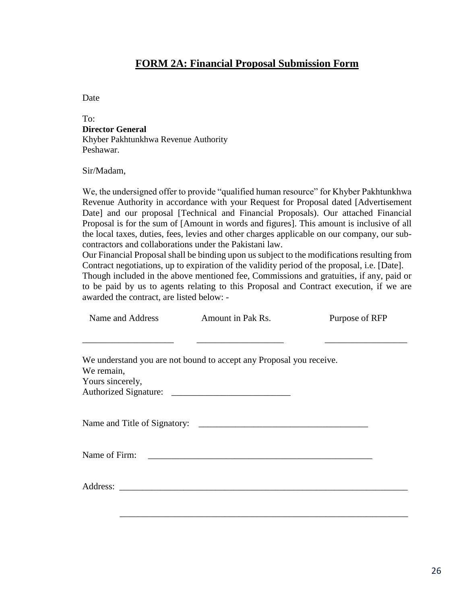### **FORM 2A: Financial Proposal Submission Form**

Date

To: **Director General** Khyber Pakhtunkhwa Revenue Authority Peshawar.

Sir/Madam,

We, the undersigned offer to provide "qualified human resource" for Khyber Pakhtunkhwa Revenue Authority in accordance with your Request for Proposal dated [Advertisement Date] and our proposal [Technical and Financial Proposals). Our attached Financial Proposal is for the sum of [Amount in words and figures]. This amount is inclusive of all the local taxes, duties, fees, levies and other charges applicable on our company, our subcontractors and collaborations under the Pakistani law.

Our Financial Proposal shall be binding upon us subject to the modifications resulting from Contract negotiations, up to expiration of the validity period of the proposal, i.e. [Date].

Though included in the above mentioned fee, Commissions and gratuities, if any, paid or to be paid by us to agents relating to this Proposal and Contract execution, if we are awarded the contract, are listed below: -

|                  | Name and Address Amount in Pak Rs.                                  | Purpose of RFP |
|------------------|---------------------------------------------------------------------|----------------|
|                  |                                                                     |                |
|                  | We understand you are not bound to accept any Proposal you receive. |                |
| We remain,       |                                                                     |                |
| Yours sincerely, |                                                                     |                |
|                  |                                                                     |                |
|                  |                                                                     |                |
|                  |                                                                     |                |
|                  |                                                                     |                |
|                  |                                                                     |                |
|                  |                                                                     |                |
|                  |                                                                     |                |
|                  |                                                                     |                |
|                  |                                                                     |                |
|                  |                                                                     |                |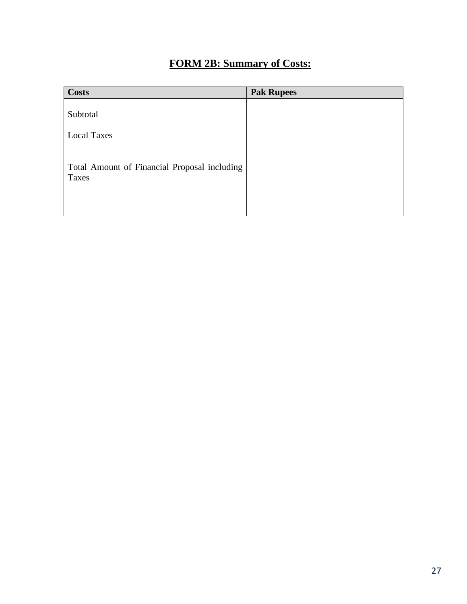# **FORM 2B: Summary of Costs:**

| <b>Costs</b>                                          | <b>Pak Rupees</b> |
|-------------------------------------------------------|-------------------|
| Subtotal<br><b>Local Taxes</b>                        |                   |
| Total Amount of Financial Proposal including<br>Taxes |                   |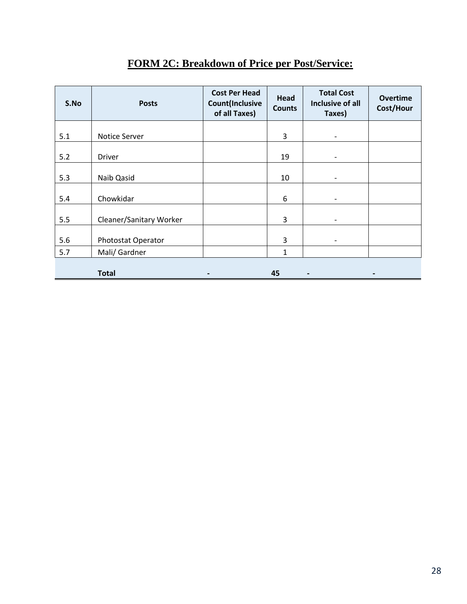| S.No | <b>Posts</b>            | <b>Cost Per Head</b><br><b>Count(Inclusive</b><br>of all Taxes) | Head<br><b>Counts</b> | <b>Total Cost</b><br>Inclusive of all<br>Taxes) | <b>Overtime</b><br>Cost/Hour |
|------|-------------------------|-----------------------------------------------------------------|-----------------------|-------------------------------------------------|------------------------------|
| 5.1  | Notice Server           |                                                                 | 3                     | -                                               |                              |
| 5.2  | <b>Driver</b>           |                                                                 | 19                    | -                                               |                              |
| 5.3  | Naib Qasid              |                                                                 | 10                    | -                                               |                              |
| 5.4  | Chowkidar               |                                                                 | 6                     | -                                               |                              |
| 5.5  | Cleaner/Sanitary Worker |                                                                 | 3                     | $\overline{\phantom{0}}$                        |                              |
| 5.6  | Photostat Operator      |                                                                 | 3                     | $\overline{\phantom{a}}$                        |                              |
| 5.7  | Mali/ Gardner           |                                                                 | $\mathbf{1}$          |                                                 |                              |
|      | <b>Total</b>            | $\qquad \qquad \blacksquare$                                    | 45                    |                                                 |                              |

# **FORM 2C: Breakdown of Price per Post/Service:**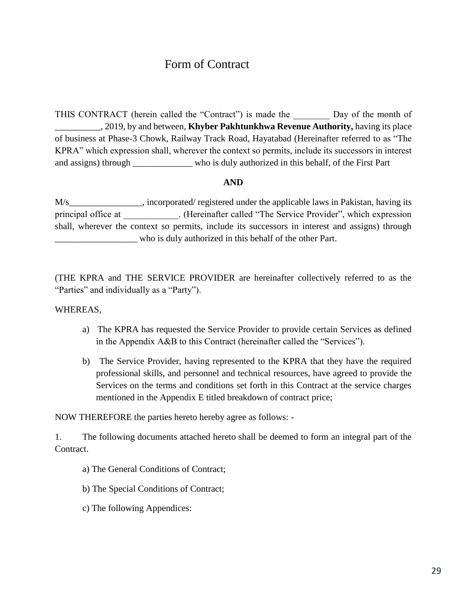# Form of Contract

THIS CONTRACT (herein called the "Contract") is made the Day of the month of \_\_\_\_\_\_\_\_\_\_, 2019, by and between, **Khyber Pakhtunkhwa Revenue Authority,** having its place of business at Phase-3 Chowk, Railway Track Road, Hayatabad (Hereinafter referred to as "The KPRA" which expression shall, wherever the context so permits, include its successors in interest and assigns) through \_\_\_\_\_\_\_\_\_\_\_\_\_ who is duly authorized in this behalf, of the First Part

#### **AND**

M/s\_\_\_\_\_\_\_\_\_\_\_\_\_\_\_\_, incorporated/ registered under the applicable laws in Pakistan, having its principal office at  $\qquad \qquad$  . (Hereinafter called "The Service Provider", which expression shall, wherever the context so permits, include its successors in interest and assigns) through \_\_\_\_\_\_\_\_\_\_\_\_\_\_\_\_\_\_ who is duly authorized in this behalf of the other Part.

(THE KPRA and THE SERVICE PROVIDER are hereinafter collectively referred to as the "Parties" and individually as a "Party").

#### WHEREAS,

- a) The KPRA has requested the Service Provider to provide certain Services as defined in the Appendix A&B to this Contract (hereinafter called the "Services").
- b) The Service Provider, having represented to the KPRA that they have the required professional skills, and personnel and technical resources, have agreed to provide the Services on the terms and conditions set forth in this Contract at the service charges mentioned in the Appendix E titled breakdown of contract price;

NOW THEREFORE the parties hereto hereby agree as follows: -

1. The following documents attached hereto shall be deemed to form an integral part of the Contract.

- a) The General Conditions of Contract;
- b) The Special Conditions of Contract;
- c) The following Appendices: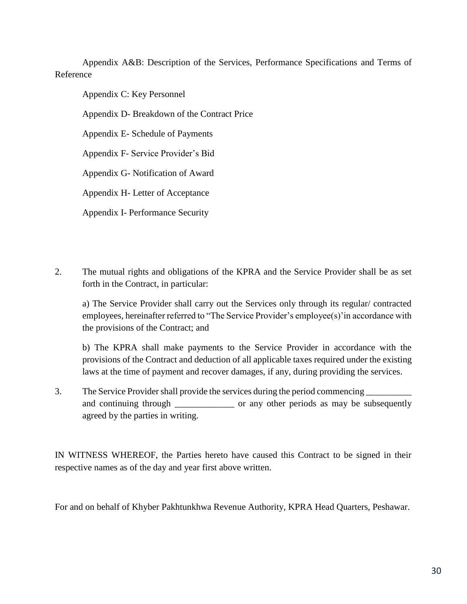Appendix A&B: Description of the Services, Performance Specifications and Terms of Reference

Appendix C: Key Personnel

Appendix D- Breakdown of the Contract Price

Appendix E- Schedule of Payments

Appendix F- Service Provider's Bid

Appendix G- Notification of Award

Appendix H- Letter of Acceptance

Appendix I- Performance Security

2. The mutual rights and obligations of the KPRA and the Service Provider shall be as set forth in the Contract, in particular:

a) The Service Provider shall carry out the Services only through its regular/ contracted employees, hereinafter referred to "The Service Provider's employee(s)'in accordance with the provisions of the Contract; and

b) The KPRA shall make payments to the Service Provider in accordance with the provisions of the Contract and deduction of all applicable taxes required under the existing laws at the time of payment and recover damages, if any, during providing the services.

3. The Service Provider shall provide the services during the period commencing and continuing through \_\_\_\_\_\_\_\_\_\_\_\_\_\_\_ or any other periods as may be subsequently agreed by the parties in writing.

IN WITNESS WHEREOF, the Parties hereto have caused this Contract to be signed in their respective names as of the day and year first above written.

For and on behalf of Khyber Pakhtunkhwa Revenue Authority, KPRA Head Quarters, Peshawar.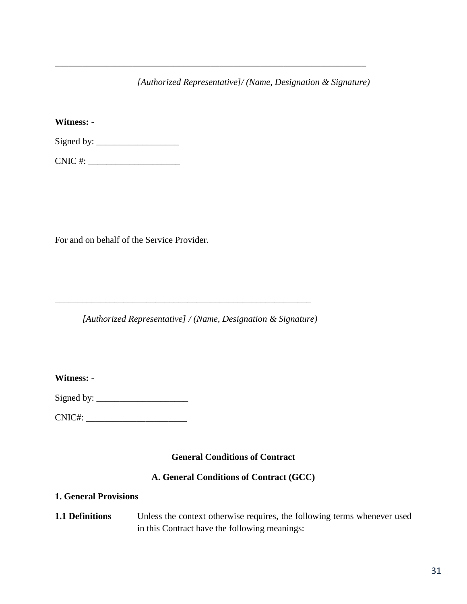*[Authorized Representative]/ (Name, Designation & Signature)*

\_\_\_\_\_\_\_\_\_\_\_\_\_\_\_\_\_\_\_\_\_\_\_\_\_\_\_\_\_\_\_\_\_\_\_\_\_\_\_\_\_\_\_\_\_\_\_\_\_\_\_\_\_\_\_\_\_\_\_\_\_\_\_\_\_\_\_\_

**Witness: -**

Signed by:  $\frac{\text{Signed by:}\n}{\text{Signed by:}\n}$ 

CNIC #: \_\_\_\_\_\_\_\_\_\_\_\_\_\_\_\_\_\_\_\_

For and on behalf of the Service Provider.

*[Authorized Representative] / (Name, Designation & Signature)*

\_\_\_\_\_\_\_\_\_\_\_\_\_\_\_\_\_\_\_\_\_\_\_\_\_\_\_\_\_\_\_\_\_\_\_\_\_\_\_\_\_\_\_\_\_\_\_\_\_\_\_\_\_\_\_\_

**Witness: -**

Signed by: \_\_\_\_\_\_\_\_\_\_\_\_\_\_\_\_\_\_\_\_

CNIC#: \_\_\_\_\_\_\_\_\_\_\_\_\_\_\_\_\_\_\_\_\_\_

#### **General Conditions of Contract**

#### **A. General Conditions of Contract (GCC)**

#### **1. General Provisions**

**1.1 Definitions** Unless the context otherwise requires, the following terms whenever used in this Contract have the following meanings: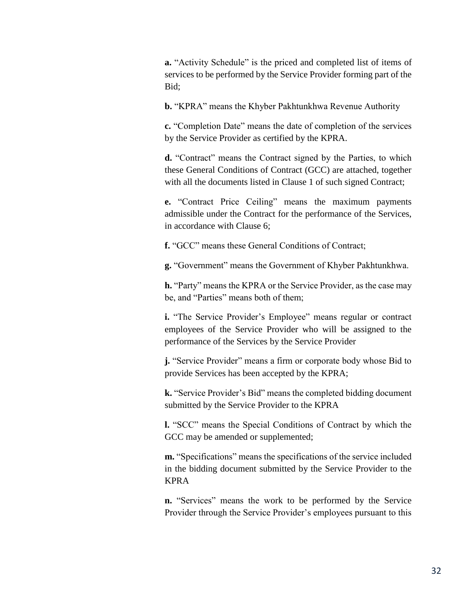**a.** "Activity Schedule" is the priced and completed list of items of services to be performed by the Service Provider forming part of the Bid;

**b.** "KPRA" means the Khyber Pakhtunkhwa Revenue Authority

**c.** "Completion Date" means the date of completion of the services by the Service Provider as certified by the KPRA.

**d.** "Contract" means the Contract signed by the Parties, to which these General Conditions of Contract (GCC) are attached, together with all the documents listed in Clause 1 of such signed Contract;

**e.** "Contract Price Ceiling" means the maximum payments admissible under the Contract for the performance of the Services, in accordance with Clause 6;

**f.** "GCC" means these General Conditions of Contract;

**g.** "Government" means the Government of Khyber Pakhtunkhwa.

**h.** "Party" means the KPRA or the Service Provider, as the case may be, and "Parties" means both of them;

**i.** "The Service Provider's Employee" means regular or contract employees of the Service Provider who will be assigned to the performance of the Services by the Service Provider

**j.** "Service Provider" means a firm or corporate body whose Bid to provide Services has been accepted by the KPRA;

**k.** "Service Provider's Bid" means the completed bidding document submitted by the Service Provider to the KPRA

**l.** "SCC" means the Special Conditions of Contract by which the GCC may be amended or supplemented;

**m.** "Specifications" means the specifications of the service included in the bidding document submitted by the Service Provider to the KPRA

**n.** "Services" means the work to be performed by the Service Provider through the Service Provider's employees pursuant to this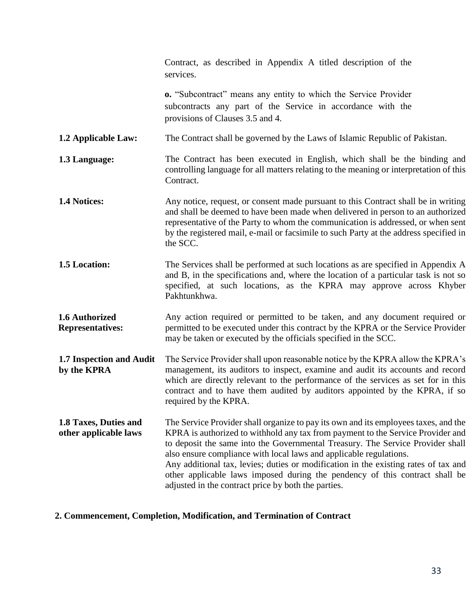|                                                | Contract, as described in Appendix A titled description of the<br>services.                                                                                                                                                                                                                                                                                                                                                                                                                                                                                 |
|------------------------------------------------|-------------------------------------------------------------------------------------------------------------------------------------------------------------------------------------------------------------------------------------------------------------------------------------------------------------------------------------------------------------------------------------------------------------------------------------------------------------------------------------------------------------------------------------------------------------|
|                                                | <b>o.</b> "Subcontract" means any entity to which the Service Provider<br>subcontracts any part of the Service in accordance with the<br>provisions of Clauses 3.5 and 4.                                                                                                                                                                                                                                                                                                                                                                                   |
| 1.2 Applicable Law:                            | The Contract shall be governed by the Laws of Islamic Republic of Pakistan.                                                                                                                                                                                                                                                                                                                                                                                                                                                                                 |
| 1.3 Language:                                  | The Contract has been executed in English, which shall be the binding and<br>controlling language for all matters relating to the meaning or interpretation of this<br>Contract.                                                                                                                                                                                                                                                                                                                                                                            |
| 1.4 Notices:                                   | Any notice, request, or consent made pursuant to this Contract shall be in writing<br>and shall be deemed to have been made when delivered in person to an authorized<br>representative of the Party to whom the communication is addressed, or when sent<br>by the registered mail, e-mail or facsimile to such Party at the address specified in<br>the SCC.                                                                                                                                                                                              |
| 1.5 Location:                                  | The Services shall be performed at such locations as are specified in Appendix A<br>and B, in the specifications and, where the location of a particular task is not so<br>specified, at such locations, as the KPRA may approve across Khyber<br>Pakhtunkhwa.                                                                                                                                                                                                                                                                                              |
| 1.6 Authorized<br><b>Representatives:</b>      | Any action required or permitted to be taken, and any document required or<br>permitted to be executed under this contract by the KPRA or the Service Provider<br>may be taken or executed by the officials specified in the SCC.                                                                                                                                                                                                                                                                                                                           |
| 1.7 Inspection and Audit<br>by the KPRA        | The Service Provider shall upon reasonable notice by the KPRA allow the KPRA's<br>management, its auditors to inspect, examine and audit its accounts and record<br>which are directly relevant to the performance of the services as set for in this<br>contract and to have them audited by auditors appointed by the KPRA, if so<br>required by the KPRA.                                                                                                                                                                                                |
| 1.8 Taxes, Duties and<br>other applicable laws | The Service Provider shall organize to pay its own and its employees taxes, and the<br>KPRA is authorized to withhold any tax from payment to the Service Provider and<br>to deposit the same into the Governmental Treasury. The Service Provider shall<br>also ensure compliance with local laws and applicable regulations.<br>Any additional tax, levies; duties or modification in the existing rates of tax and<br>other applicable laws imposed during the pendency of this contract shall be<br>adjusted in the contract price by both the parties. |

# **2. Commencement, Completion, Modification, and Termination of Contract**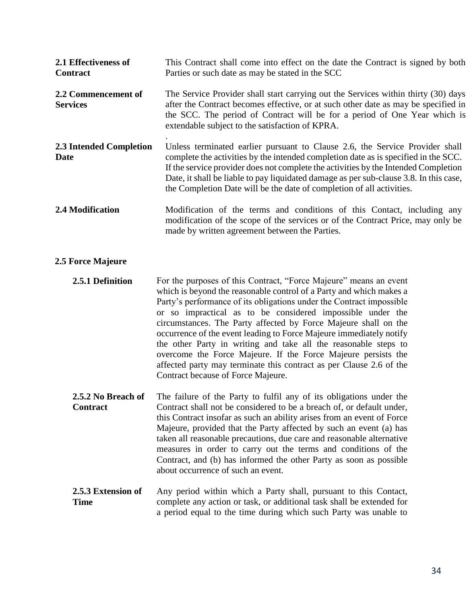| 2.1 Effectiveness of<br><b>Contract</b> | This Contract shall come into effect on the date the Contract is signed by both<br>Parties or such date as may be stated in the SCC                                                                                                                                                                                                                                                                                           |
|-----------------------------------------|-------------------------------------------------------------------------------------------------------------------------------------------------------------------------------------------------------------------------------------------------------------------------------------------------------------------------------------------------------------------------------------------------------------------------------|
| 2.2 Commencement of<br><b>Services</b>  | The Service Provider shall start carrying out the Services within thirty (30) days<br>after the Contract becomes effective, or at such other date as may be specified in<br>the SCC. The period of Contract will be for a period of One Year which is<br>extendable subject to the satisfaction of KPRA.                                                                                                                      |
| 2.3 Intended Completion<br>Date         | Unless terminated earlier pursuant to Clause 2.6, the Service Provider shall<br>complete the activities by the intended completion date as is specified in the SCC.<br>If the service provider does not complete the activities by the Intended Completion<br>Date, it shall be liable to pay liquidated damage as per sub-clause 3.8. In this case,<br>the Completion Date will be the date of completion of all activities. |
| <b>2.4 Modification</b>                 | Modification of the terms and conditions of this Contact, including any<br>modification of the scope of the services or of the Contract Price, may only be<br>made by written agreement between the Parties.                                                                                                                                                                                                                  |

#### **2.5 Force Majeure**

**2.5.1 Definition** For the purposes of this Contract, "Force Majeure" means an event which is beyond the reasonable control of a Party and which makes a Party's performance of its obligations under the Contract impossible or so impractical as to be considered impossible under the circumstances. The Party affected by Force Majeure shall on the occurrence of the event leading to Force Majeure immediately notify the other Party in writing and take all the reasonable steps to overcome the Force Majeure. If the Force Majeure persists the affected party may terminate this contract as per Clause 2.6 of the Contract because of Force Majeure.

- **2.5.2 No Breach of Contract** The failure of the Party to fulfil any of its obligations under the Contract shall not be considered to be a breach of, or default under, this Contract insofar as such an ability arises from an event of Force Majeure, provided that the Party affected by such an event (a) has taken all reasonable precautions, due care and reasonable alternative measures in order to carry out the terms and conditions of the Contract, and (b) has informed the other Party as soon as possible about occurrence of such an event.
- **2.5.3 Extension of Time** Any period within which a Party shall, pursuant to this Contact, complete any action or task, or additional task shall be extended for a period equal to the time during which such Party was unable to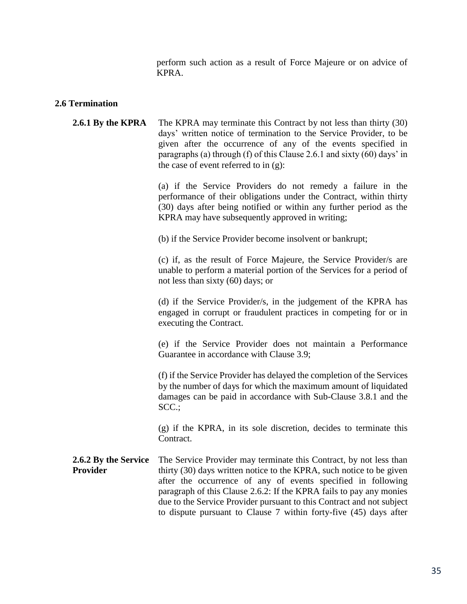perform such action as a result of Force Majeure or on advice of KPRA.

#### **2.6 Termination**

**2.6.1 By the KPRA** The KPRA may terminate this Contract by not less than thirty (30) days' written notice of termination to the Service Provider, to be given after the occurrence of any of the events specified in paragraphs (a) through (f) of this Clause 2.6.1 and sixty (60) days' in the case of event referred to in (g):

> (a) if the Service Providers do not remedy a failure in the performance of their obligations under the Contract, within thirty (30) days after being notified or within any further period as the KPRA may have subsequently approved in writing;

(b) if the Service Provider become insolvent or bankrupt;

(c) if, as the result of Force Majeure, the Service Provider/s are unable to perform a material portion of the Services for a period of not less than sixty (60) days; or

(d) if the Service Provider/s, in the judgement of the KPRA has engaged in corrupt or fraudulent practices in competing for or in executing the Contract.

(e) if the Service Provider does not maintain a Performance Guarantee in accordance with Clause 3.9;

(f) if the Service Provider has delayed the completion of the Services by the number of days for which the maximum amount of liquidated damages can be paid in accordance with Sub-Clause 3.8.1 and the SCC.;

(g) if the KPRA, in its sole discretion, decides to terminate this Contract.

**2.6.2 By the Service Provider** The Service Provider may terminate this Contract, by not less than thirty (30) days written notice to the KPRA, such notice to be given after the occurrence of any of events specified in following paragraph of this Clause 2.6.2: If the KPRA fails to pay any monies due to the Service Provider pursuant to this Contract and not subject to dispute pursuant to Clause 7 within forty-five (45) days after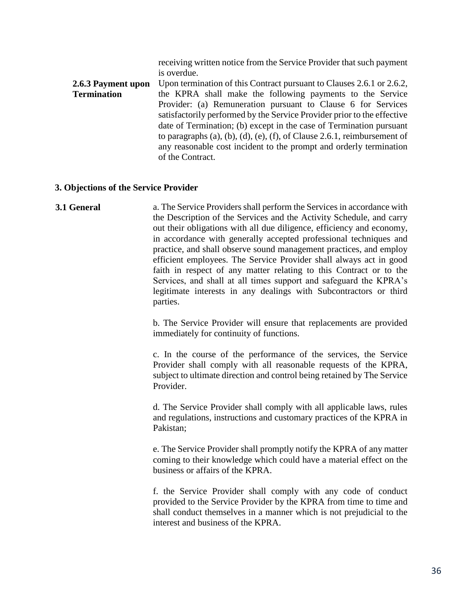receiving written notice from the Service Provider that such payment is overdue.

**2.6.3 Payment upon Termination** Upon termination of this Contract pursuant to Clauses 2.6.1 or 2.6.2, the KPRA shall make the following payments to the Service Provider: (a) Remuneration pursuant to Clause 6 for Services satisfactorily performed by the Service Provider prior to the effective date of Termination; (b) except in the case of Termination pursuant to paragraphs  $(a)$ ,  $(b)$ ,  $(d)$ ,  $(e)$ ,  $(f)$ , of Clause 2.6.1, reimbursement of any reasonable cost incident to the prompt and orderly termination of the Contract.

#### **3. Objections of the Service Provider**

**3.1 General** a. The Service Providers shall perform the Services in accordance with the Description of the Services and the Activity Schedule, and carry out their obligations with all due diligence, efficiency and economy, in accordance with generally accepted professional techniques and practice, and shall observe sound management practices, and employ efficient employees. The Service Provider shall always act in good faith in respect of any matter relating to this Contract or to the Services, and shall at all times support and safeguard the KPRA's legitimate interests in any dealings with Subcontractors or third parties.

> b. The Service Provider will ensure that replacements are provided immediately for continuity of functions.

> c. In the course of the performance of the services, the Service Provider shall comply with all reasonable requests of the KPRA, subject to ultimate direction and control being retained by The Service Provider.

> d. The Service Provider shall comply with all applicable laws, rules and regulations, instructions and customary practices of the KPRA in Pakistan;

> e. The Service Provider shall promptly notify the KPRA of any matter coming to their knowledge which could have a material effect on the business or affairs of the KPRA.

> f. the Service Provider shall comply with any code of conduct provided to the Service Provider by the KPRA from time to time and shall conduct themselves in a manner which is not prejudicial to the interest and business of the KPRA.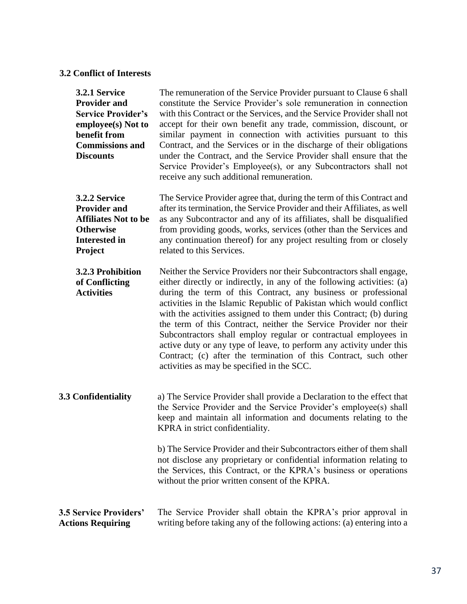### **3.2 Conflict of Interests**

| 3.2.1 Service<br><b>Provider and</b><br><b>Service Provider's</b><br>employee(s) Not to<br>benefit from<br><b>Commissions and</b><br><b>Discounts</b> | The remuneration of the Service Provider pursuant to Clause 6 shall<br>constitute the Service Provider's sole remuneration in connection<br>with this Contract or the Services, and the Service Provider shall not<br>accept for their own benefit any trade, commission, discount, or<br>similar payment in connection with activities pursuant to this<br>Contract, and the Services or in the discharge of their obligations<br>under the Contract, and the Service Provider shall ensure that the<br>Service Provider's Employee(s), or any Subcontractors shall not<br>receive any such additional remuneration.                                                                             |
|-------------------------------------------------------------------------------------------------------------------------------------------------------|---------------------------------------------------------------------------------------------------------------------------------------------------------------------------------------------------------------------------------------------------------------------------------------------------------------------------------------------------------------------------------------------------------------------------------------------------------------------------------------------------------------------------------------------------------------------------------------------------------------------------------------------------------------------------------------------------|
| 3.2.2 Service<br><b>Provider and</b><br><b>Affiliates Not to be</b><br><b>Otherwise</b><br><b>Interested in</b><br>Project                            | The Service Provider agree that, during the term of this Contract and<br>after its termination, the Service Provider and their Affiliates, as well<br>as any Subcontractor and any of its affiliates, shall be disqualified<br>from providing goods, works, services (other than the Services and<br>any continuation thereof) for any project resulting from or closely<br>related to this Services.                                                                                                                                                                                                                                                                                             |
| 3.2.3 Prohibition<br>of Conflicting<br><b>Activities</b>                                                                                              | Neither the Service Providers nor their Subcontractors shall engage,<br>either directly or indirectly, in any of the following activities: (a)<br>during the term of this Contract, any business or professional<br>activities in the Islamic Republic of Pakistan which would conflict<br>with the activities assigned to them under this Contract; (b) during<br>the term of this Contract, neither the Service Provider nor their<br>Subcontractors shall employ regular or contractual employees in<br>active duty or any type of leave, to perform any activity under this<br>Contract; (c) after the termination of this Contract, such other<br>activities as may be specified in the SCC. |
| 3.3 Confidentiality                                                                                                                                   | a) The Service Provider shall provide a Declaration to the effect that<br>the Service Provider and the Service Provider's employee(s) shall<br>keep and maintain all information and documents relating to the<br>KPRA in strict confidentiality.                                                                                                                                                                                                                                                                                                                                                                                                                                                 |
|                                                                                                                                                       | b) The Service Provider and their Subcontractors either of them shall<br>not disclose any proprietary or confidential information relating to<br>the Services, this Contract, or the KPRA's business or operations<br>without the prior written consent of the KPRA.                                                                                                                                                                                                                                                                                                                                                                                                                              |
| <b>3.5 Service Providers'</b><br><b>Actions Requiring</b>                                                                                             | The Service Provider shall obtain the KPRA's prior approval in<br>writing before taking any of the following actions: (a) entering into a                                                                                                                                                                                                                                                                                                                                                                                                                                                                                                                                                         |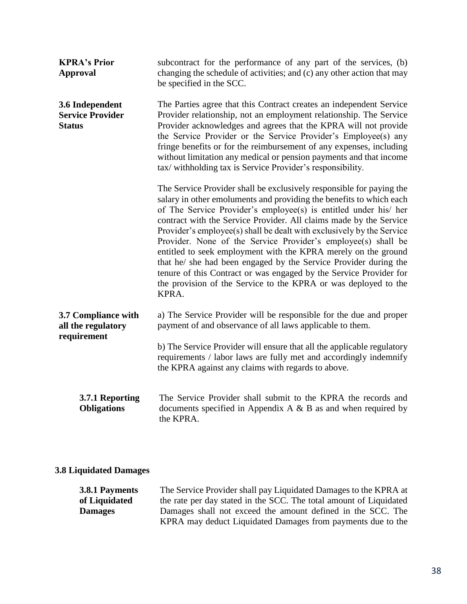| <b>KPRA's Prior</b><br><b>Approval</b>                      | subcontract for the performance of any part of the services, (b)<br>changing the schedule of activities; and (c) any other action that may<br>be specified in the SCC.                                                                                                                                                                                                                                                                                                                                                                                                                                                                                                                                                  |
|-------------------------------------------------------------|-------------------------------------------------------------------------------------------------------------------------------------------------------------------------------------------------------------------------------------------------------------------------------------------------------------------------------------------------------------------------------------------------------------------------------------------------------------------------------------------------------------------------------------------------------------------------------------------------------------------------------------------------------------------------------------------------------------------------|
| 3.6 Independent<br><b>Service Provider</b><br><b>Status</b> | The Parties agree that this Contract creates an independent Service<br>Provider relationship, not an employment relationship. The Service<br>Provider acknowledges and agrees that the KPRA will not provide<br>the Service Provider or the Service Provider's Employee(s) any<br>fringe benefits or for the reimbursement of any expenses, including<br>without limitation any medical or pension payments and that income<br>tax/withholding tax is Service Provider's responsibility.                                                                                                                                                                                                                                |
|                                                             | The Service Provider shall be exclusively responsible for paying the<br>salary in other emoluments and providing the benefits to which each<br>of The Service Provider's employee(s) is entitled under his/ her<br>contract with the Service Provider. All claims made by the Service<br>Provider's employee(s) shall be dealt with exclusively by the Service<br>Provider. None of the Service Provider's employee(s) shall be<br>entitled to seek employment with the KPRA merely on the ground<br>that he/ she had been engaged by the Service Provider during the<br>tenure of this Contract or was engaged by the Service Provider for<br>the provision of the Service to the KPRA or was deployed to the<br>KPRA. |
| 3.7 Compliance with<br>all the regulatory<br>requirement    | a) The Service Provider will be responsible for the due and proper<br>payment of and observance of all laws applicable to them.                                                                                                                                                                                                                                                                                                                                                                                                                                                                                                                                                                                         |
|                                                             | b) The Service Provider will ensure that all the applicable regulatory<br>requirements / labor laws are fully met and accordingly indemnify<br>the KPRA against any claims with regards to above.                                                                                                                                                                                                                                                                                                                                                                                                                                                                                                                       |
| 3.7.1 Reporting<br><b>Obligations</b>                       | The Service Provider shall submit to the KPRA the records and<br>documents specified in Appendix A $\&$ B as and when required by<br>the KPRA.                                                                                                                                                                                                                                                                                                                                                                                                                                                                                                                                                                          |

### **3.8 Liquidated Damages**

| 3.8.1 Payments | The Service Provider shall pay Liquidated Damages to the KPRA at   |
|----------------|--------------------------------------------------------------------|
| of Liquidated  | the rate per day stated in the SCC. The total amount of Liquidated |
| <b>Damages</b> | Damages shall not exceed the amount defined in the SCC. The        |
|                | KPRA may deduct Liquidated Damages from payments due to the        |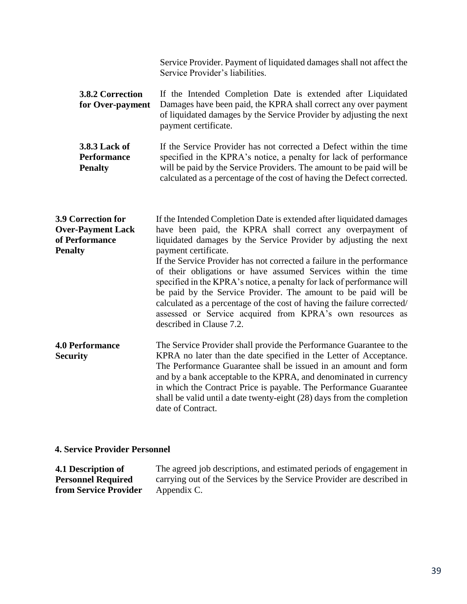|                                                              | Service Provider. Payment of liquidated damages shall not affect the<br>Service Provider's liabilities.                                                                                                                                                                                   |
|--------------------------------------------------------------|-------------------------------------------------------------------------------------------------------------------------------------------------------------------------------------------------------------------------------------------------------------------------------------------|
| <b>3.8.2 Correction</b><br>for Over-payment                  | If the Intended Completion Date is extended after Liquidated<br>Damages have been paid, the KPRA shall correct any over payment<br>of liquidated damages by the Service Provider by adjusting the next<br>payment certificate.                                                            |
| <b>3.8.3 Lack of</b><br><b>Performance</b><br><b>Penalty</b> | If the Service Provider has not corrected a Defect within the time<br>specified in the KPRA's notice, a penalty for lack of performance<br>will be paid by the Service Providers. The amount to be paid will be<br>calculated as a percentage of the cost of having the Defect corrected. |

| 3.9 Correction for<br><b>Over-Payment Lack</b><br>of Performance<br><b>Penalty</b> | If the Intended Completion Date is extended after liquidated damages<br>have been paid, the KPRA shall correct any overpayment of<br>liquidated damages by the Service Provider by adjusting the next<br>payment certificate.<br>If the Service Provider has not corrected a failure in the performance<br>of their obligations or have assumed Services within the time<br>specified in the KPRA's notice, a penalty for lack of performance will<br>be paid by the Service Provider. The amount to be paid will be<br>calculated as a percentage of the cost of having the failure corrected/<br>assessed or Service acquired from KPRA's own resources as<br>described in Clause 7.2. |
|------------------------------------------------------------------------------------|------------------------------------------------------------------------------------------------------------------------------------------------------------------------------------------------------------------------------------------------------------------------------------------------------------------------------------------------------------------------------------------------------------------------------------------------------------------------------------------------------------------------------------------------------------------------------------------------------------------------------------------------------------------------------------------|
| <b>4.0 Performance</b><br><b>Security</b>                                          | The Service Provider shall provide the Performance Guarantee to the<br>KPRA no later than the date specified in the Letter of Acceptance.<br>The Performance Guarantee shall be issued in an amount and form<br>and by a bank acceptable to the KPRA, and denominated in currency<br>in which the Contract Price is payable. The Performance Guarantee                                                                                                                                                                                                                                                                                                                                   |

#### **4. Service Provider Personnel**

**4.1 Description of Personnel Required from Service Provider** The agreed job descriptions, and estimated periods of engagement in carrying out of the Services by the Service Provider are described in Appendix C.

date of Contract.

shall be valid until a date twenty-eight (28) days from the completion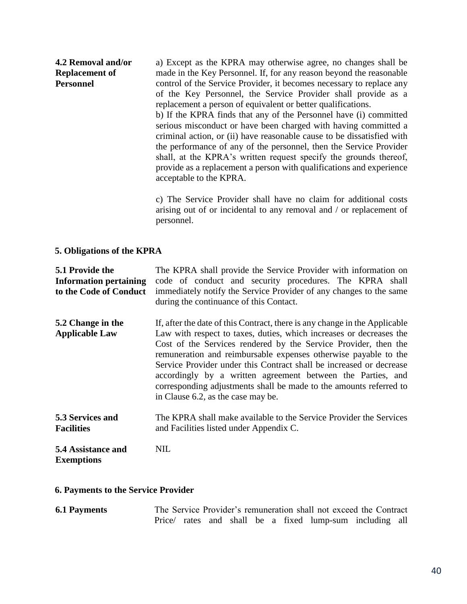#### **4.2 Removal and/or Replacement of Personnel**

a) Except as the KPRA may otherwise agree, no changes shall be made in the Key Personnel. If, for any reason beyond the reasonable control of the Service Provider, it becomes necessary to replace any of the Key Personnel, the Service Provider shall provide as a replacement a person of equivalent or better qualifications.

b) If the KPRA finds that any of the Personnel have (i) committed serious misconduct or have been charged with having committed a criminal action, or (ii) have reasonable cause to be dissatisfied with the performance of any of the personnel, then the Service Provider shall, at the KPRA's written request specify the grounds thereof, provide as a replacement a person with qualifications and experience acceptable to the KPRA.

c) The Service Provider shall have no claim for additional costs arising out of or incidental to any removal and / or replacement of personnel.

#### **5. Obligations of the KPRA**

**5.1 Provide the Information pertaining to the Code of Conduct** The KPRA shall provide the Service Provider with information on code of conduct and security procedures. The KPRA shall immediately notify the Service Provider of any changes to the same during the continuance of this Contact. **5.2 Change in the Applicable Law** If, after the date of this Contract, there is any change in the Applicable Law with respect to taxes, duties, which increases or decreases the Cost of the Services rendered by the Service Provider, then the remuneration and reimbursable expenses otherwise payable to the Service Provider under this Contract shall be increased or decrease accordingly by a written agreement between the Parties, and corresponding adjustments shall be made to the amounts referred to in Clause 6.2, as the case may be. **5.3 Services and Facilities** The KPRA shall make available to the Service Provider the Services and Facilities listed under Appendix C. **5.4 Assistance and**  NIL

# **Exemptions**

#### **6. Payments to the Service Provider**

**6.1 Payments** The Service Provider's remuneration shall not exceed the Contract Price/ rates and shall be a fixed lump-sum including all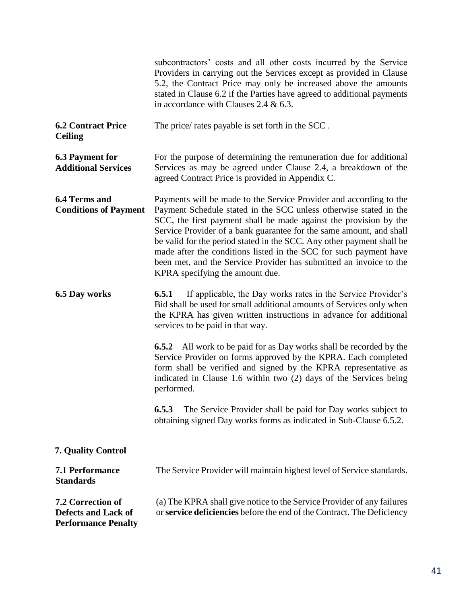|                                                                                      | subcontractors' costs and all other costs incurred by the Service<br>Providers in carrying out the Services except as provided in Clause<br>5.2, the Contract Price may only be increased above the amounts<br>stated in Clause 6.2 if the Parties have agreed to additional payments<br>in accordance with Clauses 2.4 & $6.3$ .                                                                                                                                                                                                          |
|--------------------------------------------------------------------------------------|--------------------------------------------------------------------------------------------------------------------------------------------------------------------------------------------------------------------------------------------------------------------------------------------------------------------------------------------------------------------------------------------------------------------------------------------------------------------------------------------------------------------------------------------|
| <b>6.2 Contract Price</b><br><b>Ceiling</b>                                          | The price/ rates payable is set forth in the SCC.                                                                                                                                                                                                                                                                                                                                                                                                                                                                                          |
| <b>6.3 Payment for</b><br><b>Additional Services</b>                                 | For the purpose of determining the remuneration due for additional<br>Services as may be agreed under Clause 2.4, a breakdown of the<br>agreed Contract Price is provided in Appendix C.                                                                                                                                                                                                                                                                                                                                                   |
| <b>6.4 Terms and</b><br><b>Conditions of Payment</b>                                 | Payments will be made to the Service Provider and according to the<br>Payment Schedule stated in the SCC unless otherwise stated in the<br>SCC, the first payment shall be made against the provision by the<br>Service Provider of a bank guarantee for the same amount, and shall<br>be valid for the period stated in the SCC. Any other payment shall be<br>made after the conditions listed in the SCC for such payment have<br>been met, and the Service Provider has submitted an invoice to the<br>KPRA specifying the amount due. |
| 6.5 Day works                                                                        | If applicable, the Day works rates in the Service Provider's<br>6.5.1<br>Bid shall be used for small additional amounts of Services only when<br>the KPRA has given written instructions in advance for additional<br>services to be paid in that way.                                                                                                                                                                                                                                                                                     |
|                                                                                      | <b>6.5.2</b> All work to be paid for as Day works shall be recorded by the<br>Service Provider on forms approved by the KPRA. Each completed<br>form shall be verified and signed by the KPRA representative as<br>indicated in Clause 1.6 within two (2) days of the Services being<br>performed.                                                                                                                                                                                                                                         |
|                                                                                      | The Service Provider shall be paid for Day works subject to<br>6.5.3<br>obtaining signed Day works forms as indicated in Sub-Clause 6.5.2.                                                                                                                                                                                                                                                                                                                                                                                                 |
| <b>7. Quality Control</b>                                                            |                                                                                                                                                                                                                                                                                                                                                                                                                                                                                                                                            |
| <b>7.1 Performance</b><br><b>Standards</b>                                           | The Service Provider will maintain highest level of Service standards.                                                                                                                                                                                                                                                                                                                                                                                                                                                                     |
| <b>7.2 Correction of</b><br><b>Defects and Lack of</b><br><b>Performance Penalty</b> | (a) The KPRA shall give notice to the Service Provider of any failures<br>or service deficiencies before the end of the Contract. The Deficiency                                                                                                                                                                                                                                                                                                                                                                                           |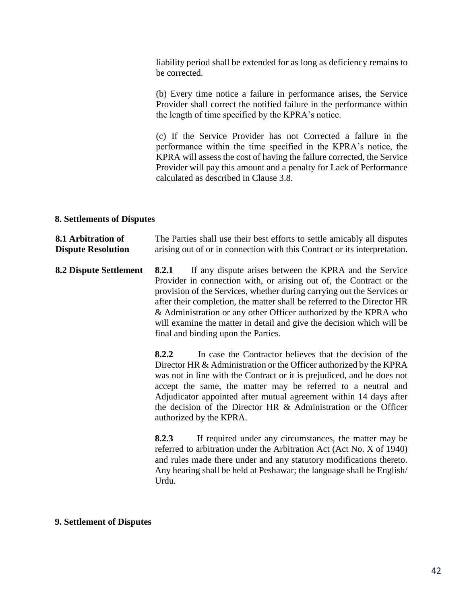liability period shall be extended for as long as deficiency remains to be corrected.

(b) Every time notice a failure in performance arises, the Service Provider shall correct the notified failure in the performance within the length of time specified by the KPRA's notice.

(c) If the Service Provider has not Corrected a failure in the performance within the time specified in the KPRA's notice, the KPRA will assess the cost of having the failure corrected, the Service Provider will pay this amount and a penalty for Lack of Performance calculated as described in Clause 3.8.

#### **8. Settlements of Disputes**

**8.1 Arbitration of Dispute Resolution** The Parties shall use their best efforts to settle amicably all disputes arising out of or in connection with this Contract or its interpretation.

**8.2 Dispute Settlement 8.2.1** If any dispute arises between the KPRA and the Service Provider in connection with, or arising out of, the Contract or the provision of the Services, whether during carrying out the Services or after their completion, the matter shall be referred to the Director HR & Administration or any other Officer authorized by the KPRA who will examine the matter in detail and give the decision which will be final and binding upon the Parties.

> **8.2.2** In case the Contractor believes that the decision of the Director HR & Administration or the Officer authorized by the KPRA was not in line with the Contract or it is prejudiced, and he does not accept the same, the matter may be referred to a neutral and Adjudicator appointed after mutual agreement within 14 days after the decision of the Director HR & Administration or the Officer authorized by the KPRA.

> **8.2.3** If required under any circumstances, the matter may be referred to arbitration under the Arbitration Act (Act No. X of 1940) and rules made there under and any statutory modifications thereto. Any hearing shall be held at Peshawar; the language shall be English/ Urdu.

#### **9. Settlement of Disputes**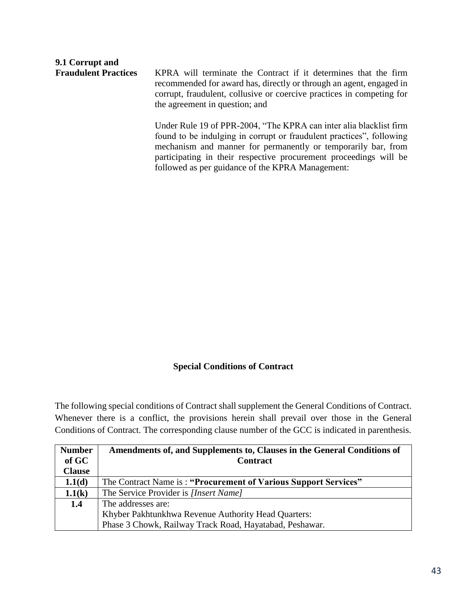# **9.1 Corrupt and**

KPRA will terminate the Contract if it determines that the firm recommended for award has, directly or through an agent, engaged in corrupt, fraudulent, collusive or coercive practices in competing for the agreement in question; and

Under Rule 19 of PPR-2004, "The KPRA can inter alia blacklist firm found to be indulging in corrupt or fraudulent practices", following mechanism and manner for permanently or temporarily bar, from participating in their respective procurement proceedings will be followed as per guidance of the KPRA Management:

#### **Special Conditions of Contract**

The following special conditions of Contract shall supplement the General Conditions of Contract. Whenever there is a conflict, the provisions herein shall prevail over those in the General Conditions of Contract. The corresponding clause number of the GCC is indicated in parenthesis.

| <b>Number</b> | Amendments of, and Supplements to, Clauses in the General Conditions of |
|---------------|-------------------------------------------------------------------------|
| of GC         | <b>Contract</b>                                                         |
| <b>Clause</b> |                                                                         |
| 1.1(d)        | The Contract Name is: "Procurement of Various Support Services"         |
| 1.1(k)        | The Service Provider is [Insert Name]                                   |
| 1.4           | The addresses are:                                                      |
|               | Khyber Pakhtunkhwa Revenue Authority Head Quarters:                     |
|               | Phase 3 Chowk, Railway Track Road, Hayatabad, Peshawar.                 |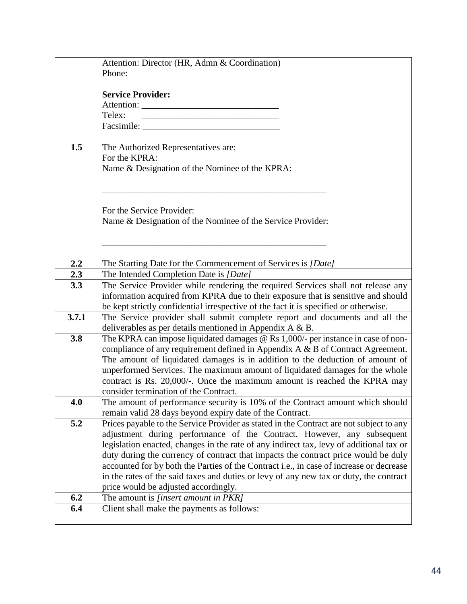|       | Attention: Director (HR, Admn & Coordination)                                                                          |
|-------|------------------------------------------------------------------------------------------------------------------------|
|       | Phone:                                                                                                                 |
|       |                                                                                                                        |
|       | <b>Service Provider:</b>                                                                                               |
|       |                                                                                                                        |
|       | Telex:<br>the control of the control of the control of the control of the control of the control of                    |
|       |                                                                                                                        |
| 1.5   | The Authorized Representatives are:                                                                                    |
|       | For the KPRA:                                                                                                          |
|       | Name & Designation of the Nominee of the KPRA:                                                                         |
|       |                                                                                                                        |
|       |                                                                                                                        |
|       |                                                                                                                        |
|       | For the Service Provider:                                                                                              |
|       | Name & Designation of the Nominee of the Service Provider:                                                             |
|       |                                                                                                                        |
|       |                                                                                                                        |
|       |                                                                                                                        |
| 2.2   | The Starting Date for the Commencement of Services is [Date]                                                           |
| 2.3   | The Intended Completion Date is [Date]                                                                                 |
| 3.3   | The Service Provider while rendering the required Services shall not release any                                       |
|       | information acquired from KPRA due to their exposure that is sensitive and should                                      |
|       | be kept strictly confidential irrespective of the fact it is specified or otherwise.                                   |
| 3.7.1 | The Service provider shall submit complete report and documents and all the                                            |
|       | deliverables as per details mentioned in Appendix A & B.                                                               |
| 3.8   | The KPRA can impose liquidated damages @ Rs 1,000/- per instance in case of non-                                       |
|       | compliance of any requirement defined in Appendix A & B of Contract Agreement.                                         |
|       | The amount of liquidated damages is in addition to the deduction of amount of                                          |
|       | unperformed Services. The maximum amount of liquidated damages for the whole                                           |
|       | contract is Rs. 20,000/-. Once the maximum amount is reached the KPRA may                                              |
| 4.0   | consider termination of the Contract.<br>The amount of performance security is 10% of the Contract amount which should |
|       | remain valid 28 days beyond expiry date of the Contract.                                                               |
| 5.2   | Prices payable to the Service Provider as stated in the Contract are not subject to any                                |
|       | adjustment during performance of the Contract. However, any subsequent                                                 |
|       | legislation enacted, changes in the rate of any indirect tax, levy of additional tax or                                |
|       | duty during the currency of contract that impacts the contract price would be duly                                     |
|       | accounted for by both the Parties of the Contract i.e., in case of increase or decrease                                |
|       | in the rates of the said taxes and duties or levy of any new tax or duty, the contract                                 |
|       | price would be adjusted accordingly.                                                                                   |
| 6.2   | The amount is [insert amount in PKR]                                                                                   |
| 6.4   | Client shall make the payments as follows:                                                                             |
|       |                                                                                                                        |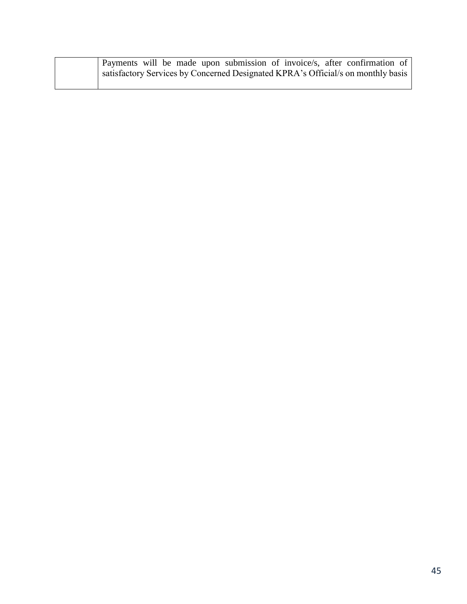|  | Payments will be made upon submission of invoice/s, after confirmation of        |
|--|----------------------------------------------------------------------------------|
|  | satisfactory Services by Concerned Designated KPRA's Official/s on monthly basis |
|  |                                                                                  |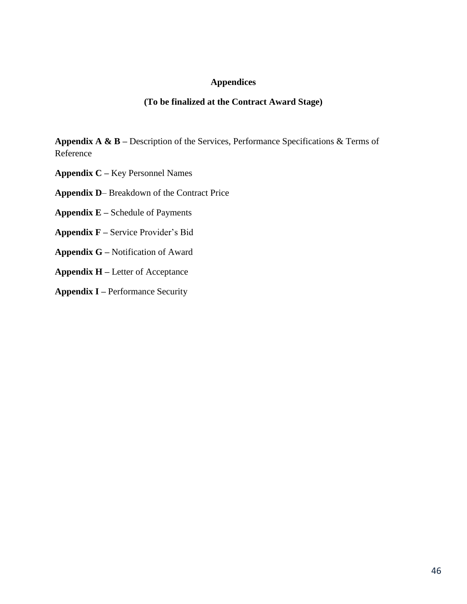#### **Appendices**

#### **(To be finalized at the Contract Award Stage)**

**Appendix A & B –** Description of the Services, Performance Specifications & Terms of Reference

**Appendix C –** Key Personnel Names

**Appendix D**– Breakdown of the Contract Price

- **Appendix E –** Schedule of Payments
- **Appendix F –** Service Provider's Bid
- **Appendix G –** Notification of Award
- **Appendix H –** Letter of Acceptance
- **Appendix I –** Performance Security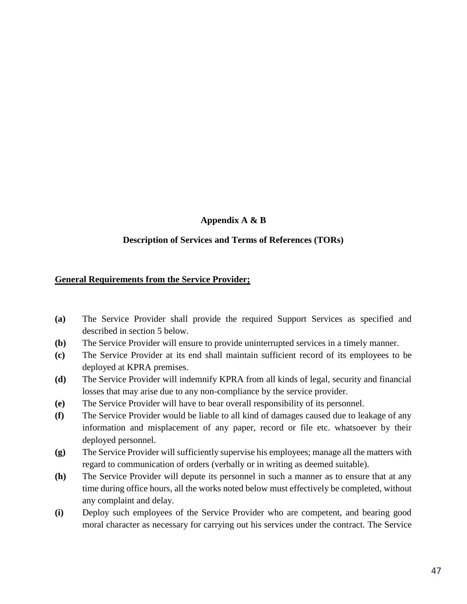#### **Appendix A & B**

#### **Description of Services and Terms of References (TORs)**

#### **General Requirements from the Service Provider;**

- **(a)** The Service Provider shall provide the required Support Services as specified and described in section 5 below.
- **(b)** The Service Provider will ensure to provide uninterrupted services in a timely manner.
- **(c)** The Service Provider at its end shall maintain sufficient record of its employees to be deployed at KPRA premises.
- **(d)** The Service Provider will indemnify KPRA from all kinds of legal, security and financial losses that may arise due to any non-compliance by the service provider.
- **(e)** The Service Provider will have to bear overall responsibility of its personnel.
- **(f)** The Service Provider would be liable to all kind of damages caused due to leakage of any information and misplacement of any paper, record or file etc. whatsoever by their deployed personnel.
- **(g)** The Service Provider will sufficiently supervise his employees; manage all the matters with regard to communication of orders (verbally or in writing as deemed suitable).
- **(h)** The Service Provider will depute its personnel in such a manner as to ensure that at any time during office hours, all the works noted below must effectively be completed, without any complaint and delay.
- **(i)** Deploy such employees of the Service Provider who are competent, and bearing good moral character as necessary for carrying out his services under the contract. The Service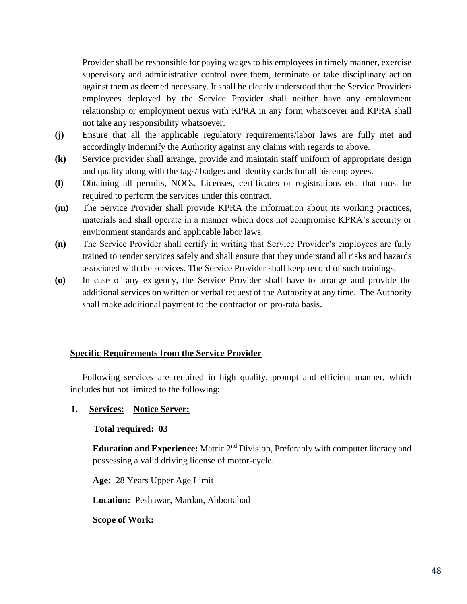Provider shall be responsible for paying wages to his employees in timely manner, exercise supervisory and administrative control over them, terminate or take disciplinary action against them as deemed necessary. It shall be clearly understood that the Service Providers employees deployed by the Service Provider shall neither have any employment relationship or employment nexus with KPRA in any form whatsoever and KPRA shall not take any responsibility whatsoever.

- **(j)** Ensure that all the applicable regulatory requirements/labor laws are fully met and accordingly indemnify the Authority against any claims with regards to above.
- **(k)** Service provider shall arrange, provide and maintain staff uniform of appropriate design and quality along with the tags/ badges and identity cards for all his employees.
- **(l)** Obtaining all permits, NOCs, Licenses, certificates or registrations etc. that must be required to perform the services under this contract.
- **(m)** The Service Provider shall provide KPRA the information about its working practices, materials and shall operate in a manner which does not compromise KPRA's security or environment standards and applicable labor laws.
- **(n)** The Service Provider shall certify in writing that Service Provider's employees are fully trained to render services safely and shall ensure that they understand all risks and hazards associated with the services. The Service Provider shall keep record of such trainings.
- **(o)** In case of any exigency, the Service Provider shall have to arrange and provide the additional services on written or verbal request of the Authority at any time. The Authority shall make additional payment to the contractor on pro-rata basis.

#### **Specific Requirements from the Service Provider**

Following services are required in high quality, prompt and efficient manner, which includes but not limited to the following:

#### **1. Services: Notice Server:**

#### **Total required: 03**

**Education and Experience:** Matric 2<sup>nd</sup> Division, Preferably with computer literacy and possessing a valid driving license of motor-cycle.

**Age:** 28 Years Upper Age Limit

**Location:** Peshawar, Mardan, Abbottabad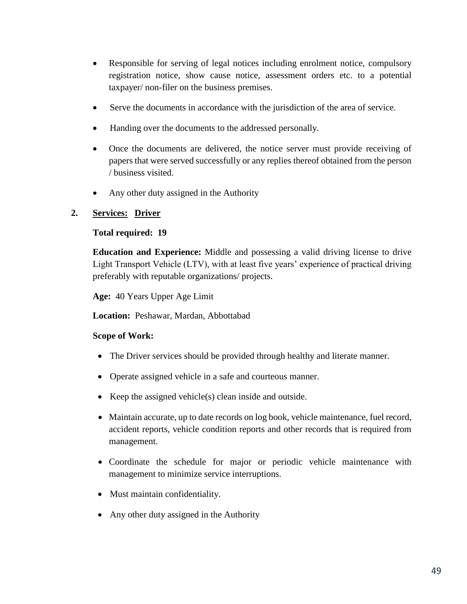- Responsible for serving of legal notices including enrolment notice, compulsory registration notice, show cause notice, assessment orders etc. to a potential taxpayer/ non-filer on the business premises.
- Serve the documents in accordance with the jurisdiction of the area of service.
- Handing over the documents to the addressed personally.
- Once the documents are delivered, the notice server must provide receiving of papers that were served successfully or any replies thereof obtained from the person / business visited.
- Any other duty assigned in the Authority

#### **2. Services: Driver**

#### **Total required: 19**

**Education and Experience:** Middle and possessing a valid driving license to drive Light Transport Vehicle (LTV), with at least five years' experience of practical driving preferably with reputable organizations/ projects.

**Age:** 40 Years Upper Age Limit

**Location:** Peshawar, Mardan, Abbottabad

- The Driver services should be provided through healthy and literate manner.
- Operate assigned vehicle in a safe and courteous manner.
- Exerched vehicle(s) clean inside and outside.
- Maintain accurate, up to date records on log book, vehicle maintenance, fuel record, accident reports, vehicle condition reports and other records that is required from management.
- Coordinate the schedule for major or periodic vehicle maintenance with management to minimize service interruptions.
- Must maintain confidentiality.
- Any other duty assigned in the Authority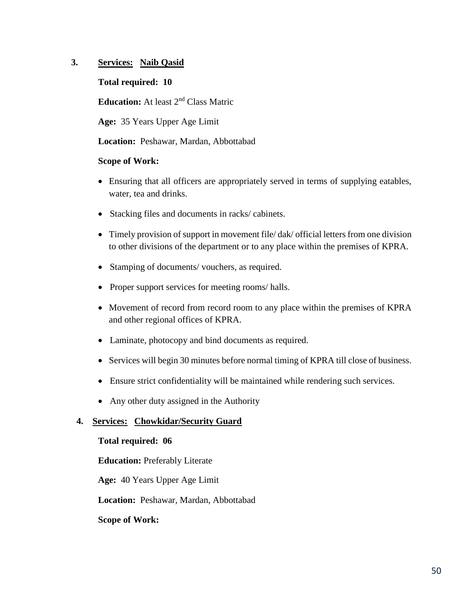#### **3. Services: Naib Qasid**

**Total required: 10**

**Education:** At least 2nd Class Matric

**Age:** 35 Years Upper Age Limit

**Location:** Peshawar, Mardan, Abbottabad

#### **Scope of Work:**

- Ensuring that all officers are appropriately served in terms of supplying eatables, water, tea and drinks.
- Stacking files and documents in racks/ cabinets.
- Timely provision of support in movement file/ dak/ official letters from one division to other divisions of the department or to any place within the premises of KPRA.
- Stamping of documents/ vouchers, as required.
- Proper support services for meeting rooms/ halls.
- Movement of record from record room to any place within the premises of KPRA and other regional offices of KPRA.
- Laminate, photocopy and bind documents as required.
- Services will begin 30 minutes before normal timing of KPRA till close of business.
- Ensure strict confidentiality will be maintained while rendering such services.
- Any other duty assigned in the Authority

#### **4. Services: Chowkidar/Security Guard**

#### **Total required: 06**

**Education:** Preferably Literate

**Age:** 40 Years Upper Age Limit

**Location:** Peshawar, Mardan, Abbottabad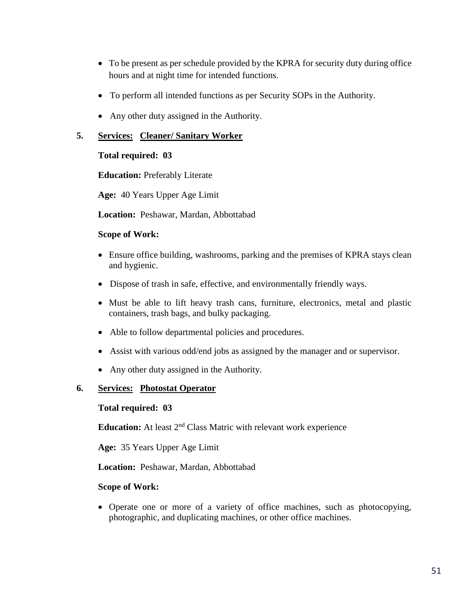- To be present as per schedule provided by the KPRA for security duty during office hours and at night time for intended functions.
- To perform all intended functions as per Security SOPs in the Authority.
- Any other duty assigned in the Authority.

#### **5. Services: Cleaner/ Sanitary Worker**

#### **Total required: 03**

**Education:** Preferably Literate

**Age:** 40 Years Upper Age Limit

**Location:** Peshawar, Mardan, Abbottabad

#### **Scope of Work:**

- Ensure office building, washrooms, parking and the premises of KPRA stays clean and hygienic.
- Dispose of trash in safe, effective, and environmentally friendly ways.
- Must be able to lift heavy trash cans, furniture, electronics, metal and plastic containers, trash bags, and bulky packaging.
- Able to follow departmental policies and procedures.
- Assist with various odd/end jobs as assigned by the manager and or supervisor.
- Any other duty assigned in the Authority.

#### **6. Services: Photostat Operator**

#### **Total required: 03**

**Education:** At least 2<sup>nd</sup> Class Matric with relevant work experience

**Age:** 35 Years Upper Age Limit

**Location:** Peshawar, Mardan, Abbottabad

#### **Scope of Work:**

 Operate one or more of a variety of office machines, such as photocopying, photographic, and duplicating machines, or other office machines.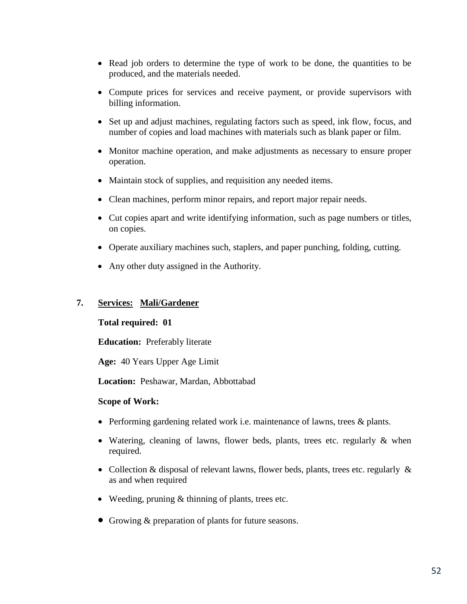- Read job orders to determine the type of work to be done, the quantities to be produced, and the materials needed.
- Compute prices for services and receive payment, or provide supervisors with billing information.
- Set up and adjust machines, regulating factors such as speed, ink flow, focus, and number of copies and load machines with materials such as blank paper or film.
- Monitor machine operation, and make adjustments as necessary to ensure proper operation.
- Maintain stock of supplies, and requisition any needed items.
- Clean machines, perform minor repairs, and report major repair needs.
- Cut copies apart and write identifying information, such as page numbers or titles, on copies.
- Operate auxiliary machines such, staplers, and paper punching, folding, cutting.
- Any other duty assigned in the Authority.

#### **7. Services: Mali/Gardener**

#### **Total required: 01**

**Education:** Preferably literate

**Age:** 40 Years Upper Age Limit

**Location:** Peshawar, Mardan, Abbottabad

- Performing gardening related work i.e. maintenance of lawns, trees & plants.
- Watering, cleaning of lawns, flower beds, plants, trees etc. regularly & when required.
- Collection & disposal of relevant lawns, flower beds, plants, trees etc. regularly & as and when required
- Weeding, pruning & thinning of plants, trees etc.
- Growing & preparation of plants for future seasons.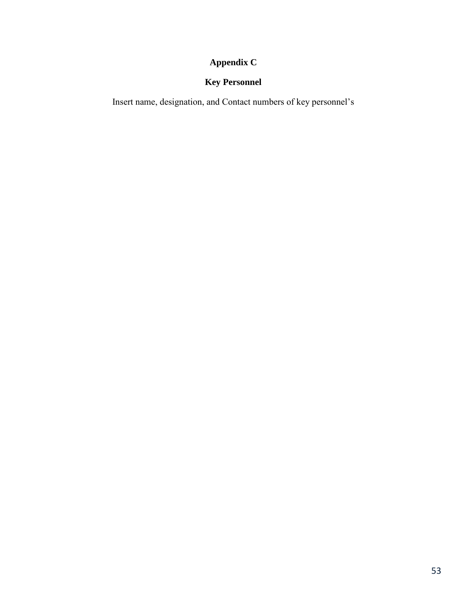# **Appendix C**

# **Key Personnel**

Insert name, designation, and Contact numbers of key personnel's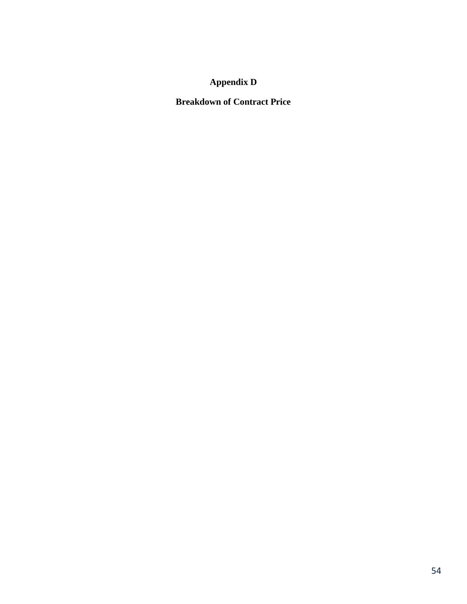# **Appendix D**

**Breakdown of Contract Price**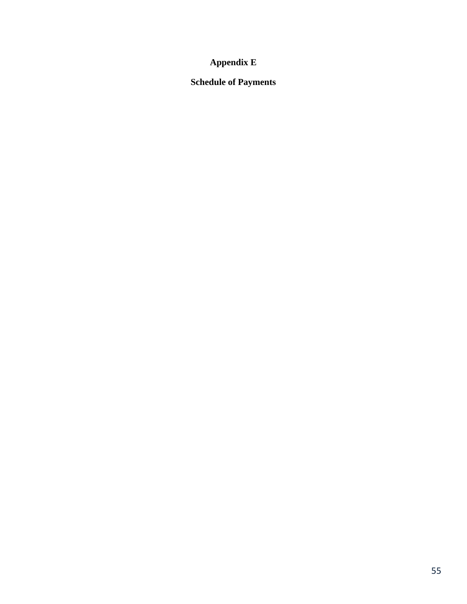# **Appendix E**

# **Schedule of Payments**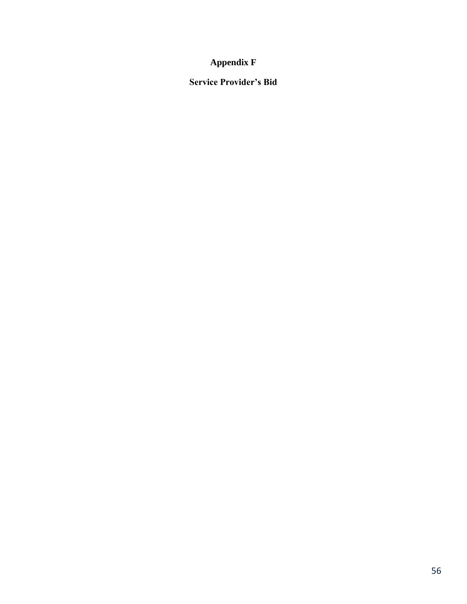### **Appendix F**

### **Service Provider's Bid**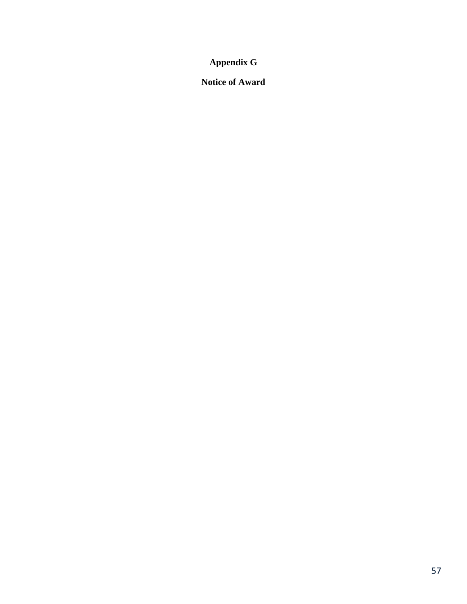**Appendix G**

**Notice of Award**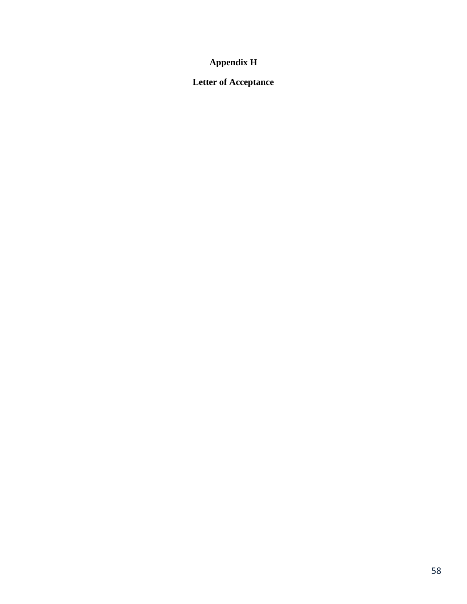# **Appendix H**

# **Letter of Acceptance**